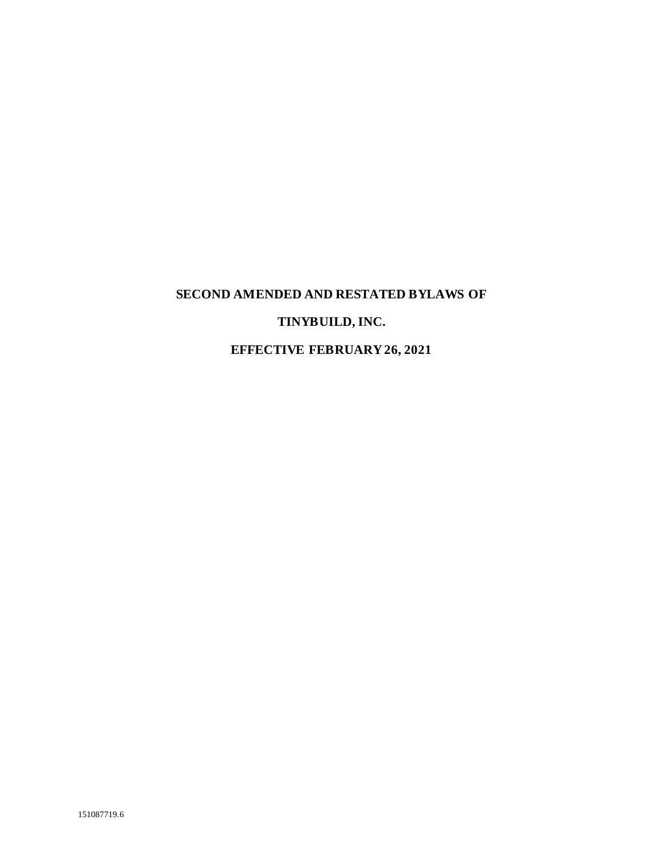# **SECOND AMENDED AND RESTATED BYLAWS OF TINYBUILD, INC. EFFECTIVE FEBRUARY 26, 2021**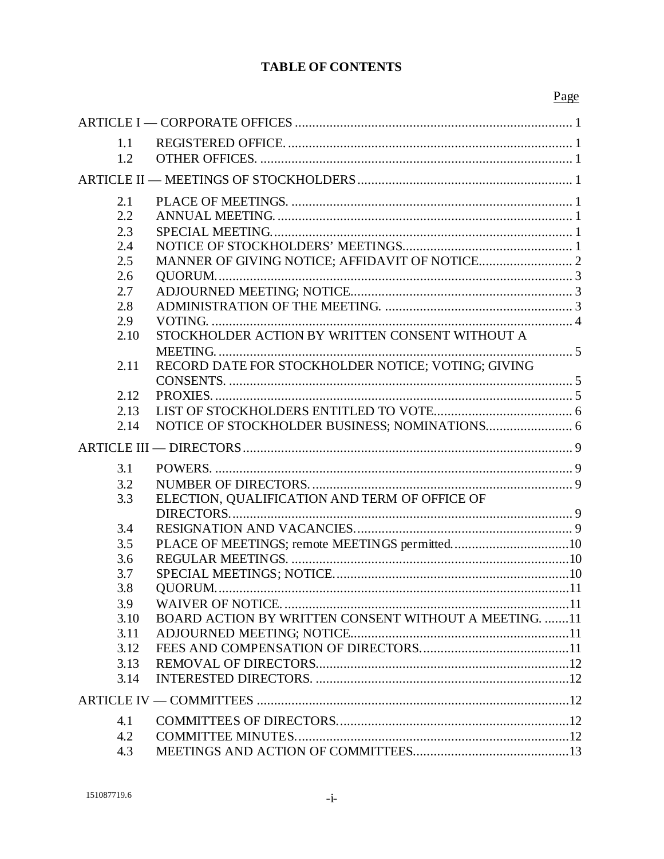# **TABLE OF CONTENTS**

# Page

| 1.1                                                           |  |
|---------------------------------------------------------------|--|
| 1.2                                                           |  |
|                                                               |  |
| 2.1                                                           |  |
| 2.2                                                           |  |
| 2.3                                                           |  |
| 2.4                                                           |  |
| 2.5                                                           |  |
| 2.6                                                           |  |
| 2.7                                                           |  |
| 2.8                                                           |  |
| 2.9                                                           |  |
| STOCKHOLDER ACTION BY WRITTEN CONSENT WITHOUT A<br>2.10       |  |
| RECORD DATE FOR STOCKHOLDER NOTICE; VOTING; GIVING<br>2.11    |  |
|                                                               |  |
| 2.12                                                          |  |
| 2.13                                                          |  |
| 2.14                                                          |  |
|                                                               |  |
| 3.1                                                           |  |
| 3.2                                                           |  |
| ELECTION, QUALIFICATION AND TERM OF OFFICE OF<br>3.3          |  |
| 3.4                                                           |  |
| 3.5                                                           |  |
| 3.6                                                           |  |
| 3.7                                                           |  |
| 3.8                                                           |  |
| 3.9                                                           |  |
| BOARD ACTION BY WRITTEN CONSENT WITHOUT A MEETING. 11<br>3.10 |  |
| 3.11                                                          |  |
| 3.12                                                          |  |
| 3.13                                                          |  |
| 3.14                                                          |  |
|                                                               |  |
| 4.1                                                           |  |
| 4.2                                                           |  |
|                                                               |  |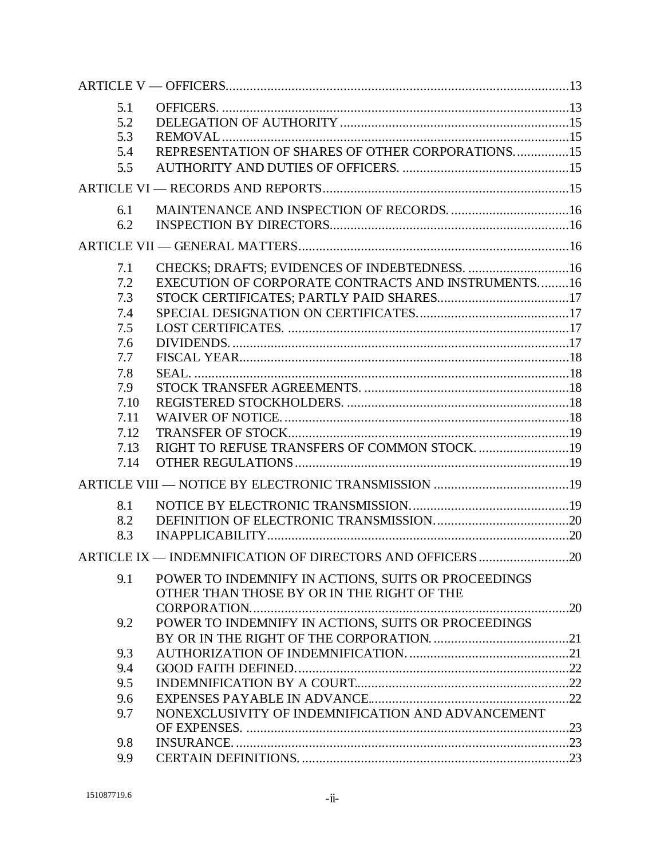| 5.1<br>5.2<br>5.3<br>5.4<br>5.5                                                                     | REPRESENTATION OF SHARES OF OTHER CORPORATIONS15                                                                                                               |  |  |
|-----------------------------------------------------------------------------------------------------|----------------------------------------------------------------------------------------------------------------------------------------------------------------|--|--|
|                                                                                                     |                                                                                                                                                                |  |  |
| 6.1<br>6.2                                                                                          |                                                                                                                                                                |  |  |
|                                                                                                     |                                                                                                                                                                |  |  |
| 7.1<br>7.2<br>7.3<br>7.4<br>7.5<br>7.6<br>7.7<br>7.8<br>7.9<br>7.10<br>7.11<br>7.12<br>7.13<br>7.14 | CHECKS; DRAFTS; EVIDENCES OF INDEBTEDNESS. 16<br>EXECUTION OF CORPORATE CONTRACTS AND INSTRUMENTS16<br>RIGHT TO REFUSE TRANSFERS OF COMMON STOCK19             |  |  |
| 8.1                                                                                                 |                                                                                                                                                                |  |  |
| 8.2                                                                                                 |                                                                                                                                                                |  |  |
| 8.3                                                                                                 |                                                                                                                                                                |  |  |
| 9.1                                                                                                 | ARTICLE IX — INDEMNIFICATION OF DIRECTORS AND OFFICERS 20<br>POWER TO INDEMNIFY IN ACTIONS, SUITS OR PROCEEDINGS<br>OTHER THAN THOSE BY OR IN THE RIGHT OF THE |  |  |
| 9.2                                                                                                 | POWER TO INDEMNIFY IN ACTIONS, SUITS OR PROCEEDINGS                                                                                                            |  |  |
| 9.3                                                                                                 |                                                                                                                                                                |  |  |
| 9.4                                                                                                 |                                                                                                                                                                |  |  |
| 9.5                                                                                                 |                                                                                                                                                                |  |  |
| 9.6                                                                                                 |                                                                                                                                                                |  |  |
| 9.7                                                                                                 | NONEXCLUSIVITY OF INDEMNIFICATION AND ADVANCEMENT                                                                                                              |  |  |
|                                                                                                     |                                                                                                                                                                |  |  |
| 9.8<br>9.9                                                                                          |                                                                                                                                                                |  |  |
|                                                                                                     |                                                                                                                                                                |  |  |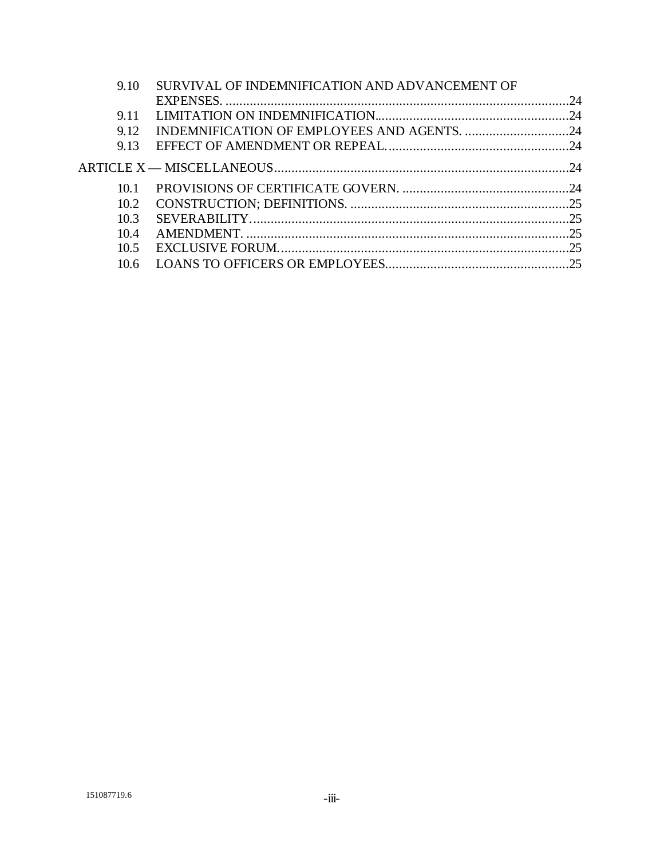| 9.10            | SURVIVAL OF INDEMNIFICATION AND ADVANCEMENT OF |  |
|-----------------|------------------------------------------------|--|
|                 |                                                |  |
| 9.11            |                                                |  |
| 9.12            |                                                |  |
| 9.13            |                                                |  |
|                 |                                                |  |
| 10 <sub>1</sub> |                                                |  |
| 10.2.           |                                                |  |
| 10.3            |                                                |  |
| 10.4            |                                                |  |
| 10.5            |                                                |  |
| 10.6            |                                                |  |
|                 |                                                |  |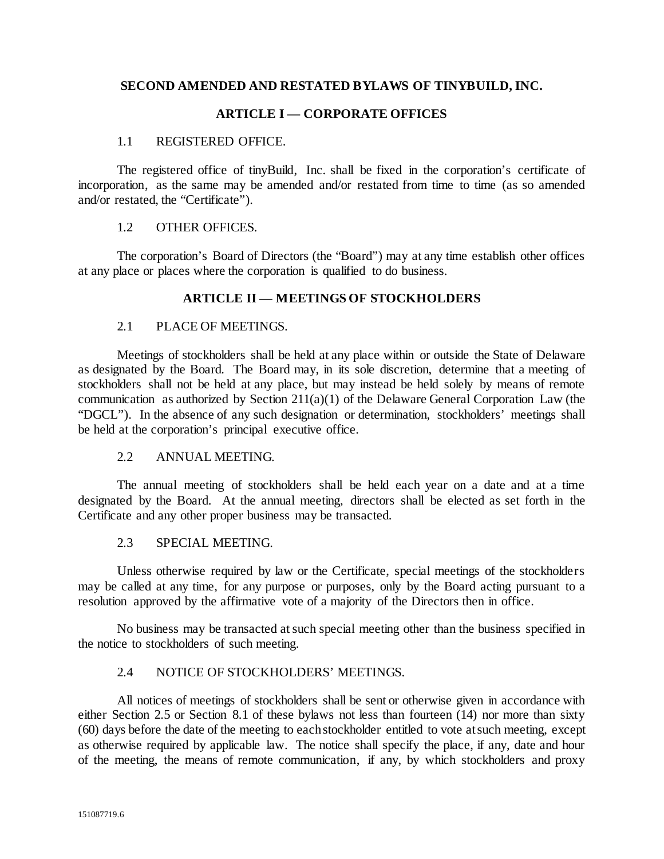#### **SECOND AMENDED AND RESTATED BYLAWS OF TINYBUILD, INC.**

## **ARTICLE I — CORPORATE OFFICES**

#### <span id="page-4-0"></span>1.1 REGISTERED OFFICE.

<span id="page-4-1"></span>The registered office of tinyBuild, Inc. shall be fixed in the corporation's certificate of incorporation, as the same may be amended and/or restated from time to time (as so amended and/or restated, the "Certificate").

#### 1.2 OTHER OFFICES.

<span id="page-4-3"></span><span id="page-4-2"></span>The corporation's Board of Directors (the "Board") may at any time establish other offices at any place or places where the corporation is qualified to do business.

## **ARTICLE II — MEETINGS OF STOCKHOLDERS**

#### 2.1 PLACE OF MEETINGS.

<span id="page-4-4"></span>Meetings of stockholders shall be held at any place within or outside the State of Delaware as designated by the Board. The Board may, in its sole discretion, determine that a meeting of stockholders shall not be held at any place, but may instead be held solely by means of remote communication as authorized by Section 211(a)(1) of the Delaware General Corporation Law (the "DGCL"). In the absence of any such designation or determination, stockholders' meetings shall be held at the corporation's principal executive office.

#### 2.2 ANNUAL MEETING.

<span id="page-4-5"></span>The annual meeting of stockholders shall be held each year on a date and at a time designated by the Board. At the annual meeting, directors shall be elected as set forth in the Certificate and any other proper business may be transacted.

#### 2.3 SPECIAL MEETING.

<span id="page-4-6"></span>Unless otherwise required by law or the Certificate, special meetings of the stockholders may be called at any time, for any purpose or purposes, only by the Board acting pursuant to a resolution approved by the affirmative vote of a majority of the Directors then in office.

No business may be transacted at such special meeting other than the business specified in the notice to stockholders of such meeting.

#### 2.4 NOTICE OF STOCKHOLDERS' MEETINGS.

<span id="page-4-7"></span>All notices of meetings of stockholders shall be sent or otherwise given in accordance with either Section 2.5 or Section 8.1 of these bylaws not less than fourteen (14) nor more than sixty (60) days before the date of the meeting to each stockholder entitled to vote at such meeting, except as otherwise required by applicable law. The notice shall specify the place, if any, date and hour of the meeting, the means of remote communication, if any, by which stockholders and proxy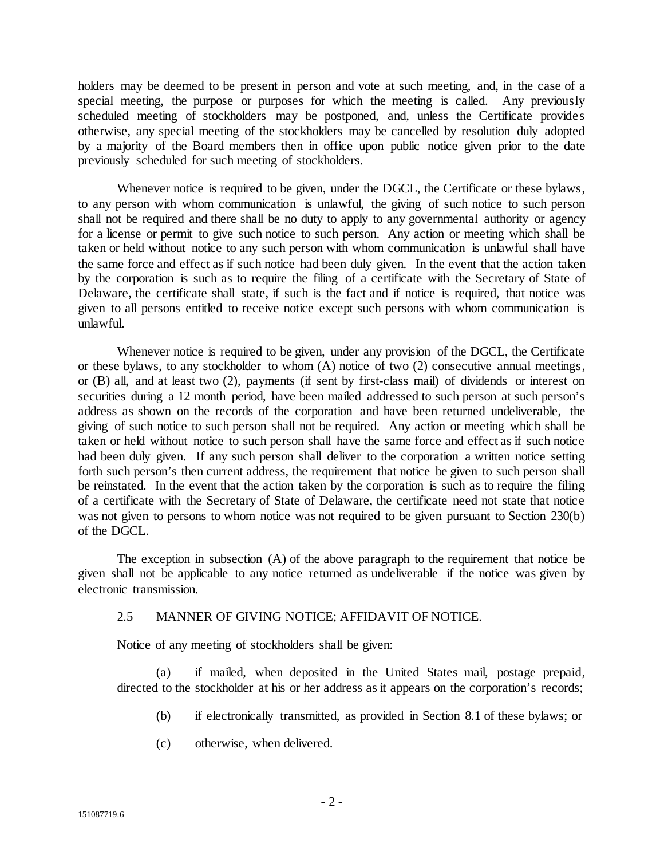holders may be deemed to be present in person and vote at such meeting, and, in the case of a special meeting, the purpose or purposes for which the meeting is called. Any previously scheduled meeting of stockholders may be postponed, and, unless the Certificate provides otherwise, any special meeting of the stockholders may be cancelled by resolution duly adopted by a majority of the Board members then in office upon public notice given prior to the date previously scheduled for such meeting of stockholders.

Whenever notice is required to be given, under the DGCL, the Certificate or these bylaws, to any person with whom communication is unlawful, the giving of such notice to such person shall not be required and there shall be no duty to apply to any governmental authority or agency for a license or permit to give such notice to such person. Any action or meeting which shall be taken or held without notice to any such person with whom communication is unlawful shall have the same force and effect as if such notice had been duly given. In the event that the action taken by the corporation is such as to require the filing of a certificate with the Secretary of State of Delaware, the certificate shall state, if such is the fact and if notice is required, that notice was given to all persons entitled to receive notice except such persons with whom communication is unlawful.

Whenever notice is required to be given, under any provision of the DGCL, the Certificate or these bylaws, to any stockholder to whom (A) notice of two (2) consecutive annual meetings, or (B) all, and at least two (2), payments (if sent by first-class mail) of dividends or interest on securities during a 12 month period, have been mailed addressed to such person at such person's address as shown on the records of the corporation and have been returned undeliverable, the giving of such notice to such person shall not be required. Any action or meeting which shall be taken or held without notice to such person shall have the same force and effect as if such notice had been duly given. If any such person shall deliver to the corporation a written notice setting forth such person's then current address, the requirement that notice be given to such person shall be reinstated. In the event that the action taken by the corporation is such as to require the filing of a certificate with the Secretary of State of Delaware, the certificate need not state that notice was not given to persons to whom notice was not required to be given pursuant to Section 230(b) of the DGCL.

The exception in subsection (A) of the above paragraph to the requirement that notice be given shall not be applicable to any notice returned as undeliverable if the notice was given by electronic transmission.

## <span id="page-5-0"></span>2.5 MANNER OF GIVING NOTICE; AFFIDAVIT OF NOTICE.

Notice of any meeting of stockholders shall be given:

(a) if mailed, when deposited in the United States mail, postage prepaid, directed to the stockholder at his or her address as it appears on the corporation's records;

- (b) if electronically transmitted, as provided in Section 8.1 of these bylaws; or
- (c) otherwise, when delivered.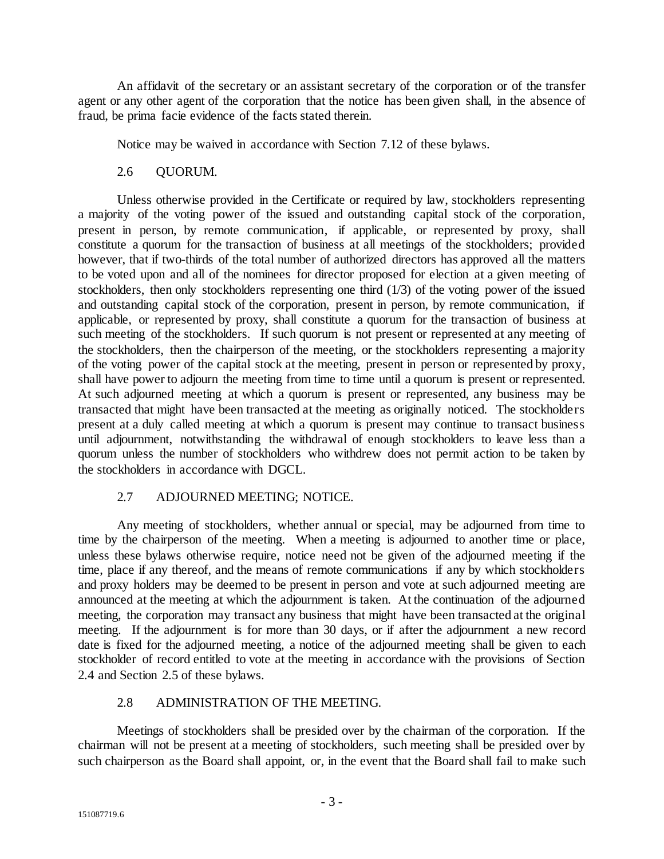An affidavit of the secretary or an assistant secretary of the corporation or of the transfer agent or any other agent of the corporation that the notice has been given shall, in the absence of fraud, be prima facie evidence of the facts stated therein.

Notice may be waived in accordance with Section 7.12 of these bylaws.

## 2.6 QUORUM.

<span id="page-6-0"></span>Unless otherwise provided in the Certificate or required by law, stockholders representing a majority of the voting power of the issued and outstanding capital stock of the corporation, present in person, by remote communication, if applicable, or represented by proxy, shall constitute a quorum for the transaction of business at all meetings of the stockholders; provided however, that if two-thirds of the total number of authorized directors has approved all the matters to be voted upon and all of the nominees for director proposed for election at a given meeting of stockholders, then only stockholders representing one third (1/3) of the voting power of the issued and outstanding capital stock of the corporation, present in person, by remote communication, if applicable, or represented by proxy, shall constitute a quorum for the transaction of business at such meeting of the stockholders. If such quorum is not present or represented at any meeting of the stockholders, then the chairperson of the meeting, or the stockholders representing a majority of the voting power of the capital stock at the meeting, present in person or represented by proxy, shall have power to adjourn the meeting from time to time until a quorum is present or represented. At such adjourned meeting at which a quorum is present or represented, any business may be transacted that might have been transacted at the meeting as originally noticed. The stockholders present at a duly called meeting at which a quorum is present may continue to transact business until adjournment, notwithstanding the withdrawal of enough stockholders to leave less than a quorum unless the number of stockholders who withdrew does not permit action to be taken by the stockholders in accordance with DGCL.

# 2.7 ADJOURNED MEETING; NOTICE.

<span id="page-6-1"></span>Any meeting of stockholders, whether annual or special, may be adjourned from time to time by the chairperson of the meeting. When a meeting is adjourned to another time or place, unless these bylaws otherwise require, notice need not be given of the adjourned meeting if the time, place if any thereof, and the means of remote communications if any by which stockholders and proxy holders may be deemed to be present in person and vote at such adjourned meeting are announced at the meeting at which the adjournment is taken. At the continuation of the adjourned meeting, the corporation may transact any business that might have been transacted at the original meeting. If the adjournment is for more than 30 days, or if after the adjournment a new record date is fixed for the adjourned meeting, a notice of the adjourned meeting shall be given to each stockholder of record entitled to vote at the meeting in accordance with the provisions of Section 2.4 and Section 2.5 of these bylaws.

## 2.8 ADMINISTRATION OF THE MEETING.

<span id="page-6-2"></span>Meetings of stockholders shall be presided over by the chairman of the corporation. If the chairman will not be present at a meeting of stockholders, such meeting shall be presided over by such chairperson as the Board shall appoint, or, in the event that the Board shall fail to make such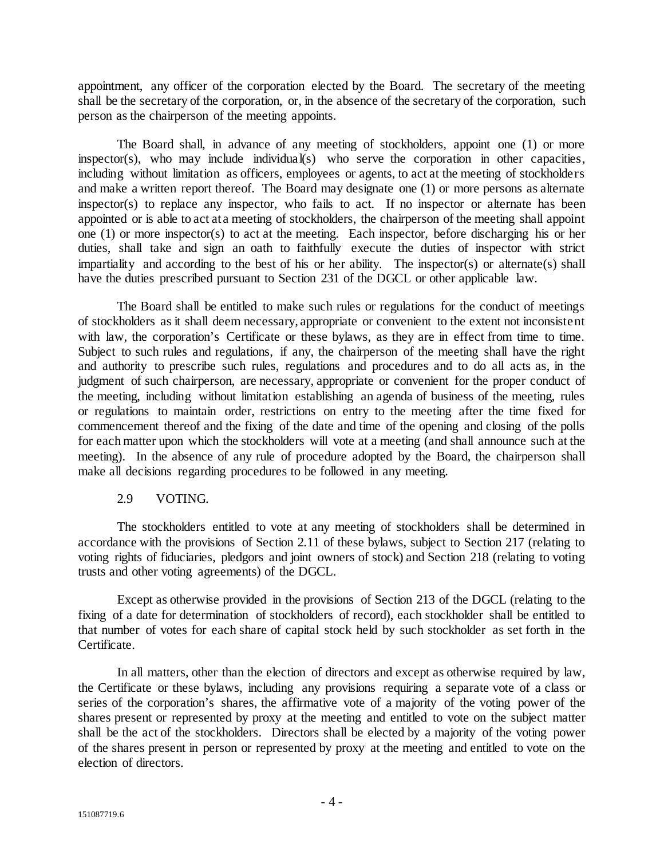appointment, any officer of the corporation elected by the Board. The secretary of the meeting shall be the secretary of the corporation, or, in the absence of the secretary of the corporation, such person as the chairperson of the meeting appoints.

The Board shall, in advance of any meeting of stockholders, appoint one (1) or more inspector(s), who may include individual(s) who serve the corporation in other capacities, including without limitation as officers, employees or agents, to act at the meeting of stockholders and make a written report thereof. The Board may designate one (1) or more persons as alternate inspector(s) to replace any inspector, who fails to act. If no inspector or alternate has been appointed or is able to act at a meeting of stockholders, the chairperson of the meeting shall appoint one (1) or more inspector(s) to act at the meeting. Each inspector, before discharging his or her duties, shall take and sign an oath to faithfully execute the duties of inspector with strict impartiality and according to the best of his or her ability. The inspector(s) or alternate(s) shall have the duties prescribed pursuant to Section 231 of the DGCL or other applicable law.

The Board shall be entitled to make such rules or regulations for the conduct of meetings of stockholders as it shall deem necessary, appropriate or convenient to the extent not inconsistent with law, the corporation's Certificate or these bylaws, as they are in effect from time to time. Subject to such rules and regulations, if any, the chairperson of the meeting shall have the right and authority to prescribe such rules, regulations and procedures and to do all acts as, in the judgment of such chairperson, are necessary, appropriate or convenient for the proper conduct of the meeting, including without limitation establishing an agenda of business of the meeting, rules or regulations to maintain order, restrictions on entry to the meeting after the time fixed for commencement thereof and the fixing of the date and time of the opening and closing of the polls for each matter upon which the stockholders will vote at a meeting (and shall announce such at the meeting). In the absence of any rule of procedure adopted by the Board, the chairperson shall make all decisions regarding procedures to be followed in any meeting.

## 2.9 VOTING.

<span id="page-7-0"></span>The stockholders entitled to vote at any meeting of stockholders shall be determined in accordance with the provisions of Section 2.11 of these bylaws, subject to Section 217 (relating to voting rights of fiduciaries, pledgors and joint owners of stock) and Section 218 (relating to voting trusts and other voting agreements) of the DGCL.

Except as otherwise provided in the provisions of Section 213 of the DGCL (relating to the fixing of a date for determination of stockholders of record), each stockholder shall be entitled to that number of votes for each share of capital stock held by such stockholder as set forth in the Certificate.

In all matters, other than the election of directors and except as otherwise required by law, the Certificate or these bylaws, including any provisions requiring a separate vote of a class or series of the corporation's shares, the affirmative vote of a majority of the voting power of the shares present or represented by proxy at the meeting and entitled to vote on the subject matter shall be the act of the stockholders. Directors shall be elected by a majority of the voting power of the shares present in person or represented by proxy at the meeting and entitled to vote on the election of directors.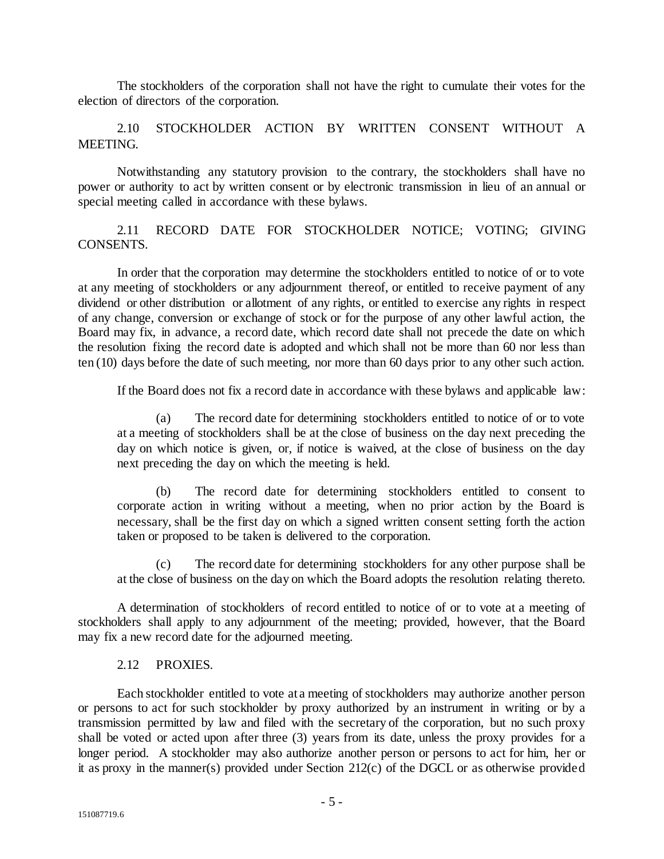The stockholders of the corporation shall not have the right to cumulate their votes for the election of directors of the corporation.

<span id="page-8-0"></span>2.10 STOCKHOLDER ACTION BY WRITTEN CONSENT WITHOUT A **MEETING.** 

Notwithstanding any statutory provision to the contrary, the stockholders shall have no power or authority to act by written consent or by electronic transmission in lieu of an annual or special meeting called in accordance with these bylaws.

## <span id="page-8-1"></span>2.11 RECORD DATE FOR STOCKHOLDER NOTICE; VOTING; GIVING CONSENTS.

In order that the corporation may determine the stockholders entitled to notice of or to vote at any meeting of stockholders or any adjournment thereof, or entitled to receive payment of any dividend or other distribution or allotment of any rights, or entitled to exercise any rights in respect of any change, conversion or exchange of stock or for the purpose of any other lawful action, the Board may fix, in advance, a record date, which record date shall not precede the date on which the resolution fixing the record date is adopted and which shall not be more than 60 nor less than ten (10) days before the date of such meeting, nor more than 60 days prior to any other such action.

If the Board does not fix a record date in accordance with these bylaws and applicable law:

(a) The record date for determining stockholders entitled to notice of or to vote at a meeting of stockholders shall be at the close of business on the day next preceding the day on which notice is given, or, if notice is waived, at the close of business on the day next preceding the day on which the meeting is held.

(b) The record date for determining stockholders entitled to consent to corporate action in writing without a meeting, when no prior action by the Board is necessary, shall be the first day on which a signed written consent setting forth the action taken or proposed to be taken is delivered to the corporation.

(c) The record date for determining stockholders for any other purpose shall be at the close of business on the day on which the Board adopts the resolution relating thereto.

A determination of stockholders of record entitled to notice of or to vote at a meeting of stockholders shall apply to any adjournment of the meeting; provided, however, that the Board may fix a new record date for the adjourned meeting.

## 2.12 PROXIES.

<span id="page-8-2"></span>Each stockholder entitled to vote at a meeting of stockholders may authorize another person or persons to act for such stockholder by proxy authorized by an instrument in writing or by a transmission permitted by law and filed with the secretary of the corporation, but no such proxy shall be voted or acted upon after three (3) years from its date, unless the proxy provides for a longer period. A stockholder may also authorize another person or persons to act for him, her or it as proxy in the manner(s) provided under Section 212(c) of the DGCL or as otherwise provided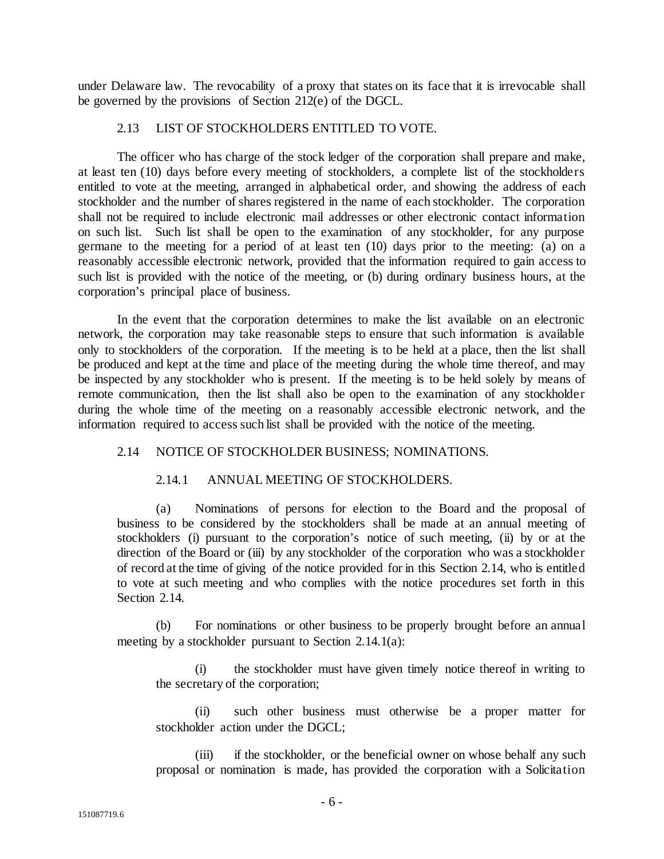under Delaware law. The revocability of a proxy that states on its face that it is irrevocable shall be governed by the provisions of Section 212(e) of the DGCL.

## 2.13 LIST OF STOCKHOLDERS ENTITLED TO VOTE.

<span id="page-9-0"></span>The officer who has charge of the stock ledger of the corporation shall prepare and make, at least ten (10) days before every meeting of stockholders, a complete list of the stockholders entitled to vote at the meeting, arranged in alphabetical order, and showing the address of each stockholder and the number of shares registered in the name of each stockholder. The corporation shall not be required to include electronic mail addresses or other electronic contact information on such list. Such list shall be open to the examination of any stockholder, for any purpose germane to the meeting for a period of at least ten (10) days prior to the meeting: (a) on a reasonably accessible electronic network, provided that the information required to gain access to such list is provided with the notice of the meeting, or (b) during ordinary business hours, at the corporation's principal place of business.

In the event that the corporation determines to make the list available on an electronic network, the corporation may take reasonable steps to ensure that such information is available only to stockholders of the corporation. If the meeting is to be held at a place, then the list shall be produced and kept at the time and place of the meeting during the whole time thereof, and may be inspected by any stockholder who is present. If the meeting is to be held solely by means of remote communication, then the list shall also be open to the examination of any stockholder during the whole time of the meeting on a reasonably accessible electronic network, and the information required to access such list shall be provided with the notice of the meeting.

## <span id="page-9-1"></span>2.14 NOTICE OF STOCKHOLDER BUSINESS; NOMINATIONS.

## 2.14.1 ANNUAL MEETING OF STOCKHOLDERS.

(a) Nominations of persons for election to the Board and the proposal of business to be considered by the stockholders shall be made at an annual meeting of stockholders (i) pursuant to the corporation's notice of such meeting, (ii) by or at the direction of the Board or (iii) by any stockholder of the corporation who was a stockholder of record at the time of giving of the notice provided for in this Section 2.14, who is entitled to vote at such meeting and who complies with the notice procedures set forth in this Section 2.14.

(b) For nominations or other business to be properly brought before an annual meeting by a stockholder pursuant to Section 2.14.1(a):

(i) the stockholder must have given timely notice thereof in writing to the secretary of the corporation;

(ii) such other business must otherwise be a proper matter for stockholder action under the DGCL;

(iii) if the stockholder, or the beneficial owner on whose behalf any such proposal or nomination is made, has provided the corporation with a Solicitation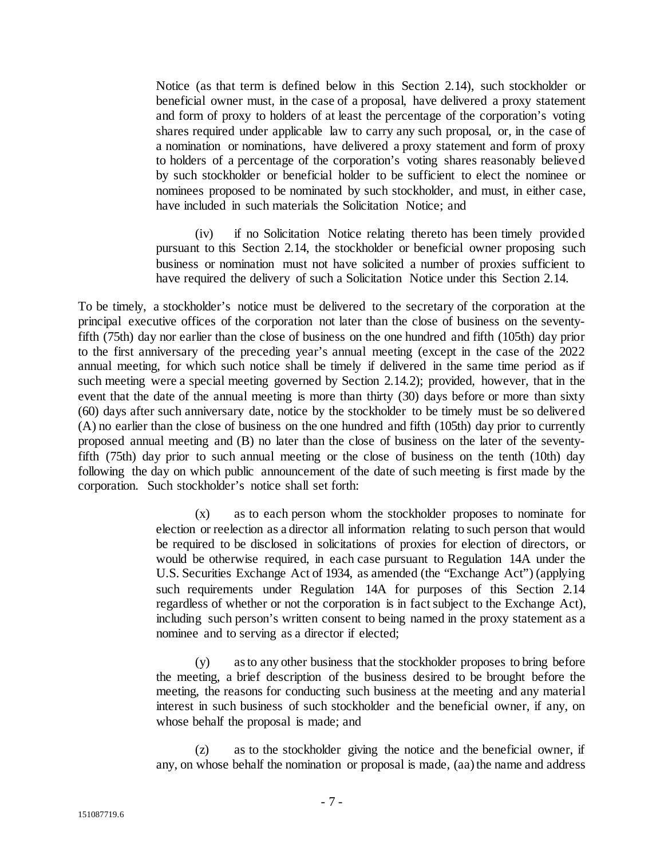Notice (as that term is defined below in this Section 2.14), such stockholder or beneficial owner must, in the case of a proposal, have delivered a proxy statement and form of proxy to holders of at least the percentage of the corporation's voting shares required under applicable law to carry any such proposal, or, in the case of a nomination or nominations, have delivered a proxy statement and form of proxy to holders of a percentage of the corporation's voting shares reasonably believed by such stockholder or beneficial holder to be sufficient to elect the nominee or nominees proposed to be nominated by such stockholder, and must, in either case, have included in such materials the Solicitation Notice; and

(iv) if no Solicitation Notice relating thereto has been timely provided pursuant to this Section 2.14, the stockholder or beneficial owner proposing such business or nomination must not have solicited a number of proxies sufficient to have required the delivery of such a Solicitation Notice under this Section 2.14.

To be timely, a stockholder's notice must be delivered to the secretary of the corporation at the principal executive offices of the corporation not later than the close of business on the seventyfifth (75th) day nor earlier than the close of business on the one hundred and fifth (105th) day prior to the first anniversary of the preceding year's annual meeting (except in the case of the 2022 annual meeting, for which such notice shall be timely if delivered in the same time period as if such meeting were a special meeting governed by Section 2.14.2); provided, however, that in the event that the date of the annual meeting is more than thirty (30) days before or more than sixty (60) days after such anniversary date, notice by the stockholder to be timely must be so delivered (A) no earlier than the close of business on the one hundred and fifth (105th) day prior to currently proposed annual meeting and (B) no later than the close of business on the later of the seventyfifth (75th) day prior to such annual meeting or the close of business on the tenth (10th) day following the day on which public announcement of the date of such meeting is first made by the corporation. Such stockholder's notice shall set forth:

> (x) as to each person whom the stockholder proposes to nominate for election or reelection as a director all information relating to such person that would be required to be disclosed in solicitations of proxies for election of directors, or would be otherwise required, in each case pursuant to Regulation 14A under the U.S. Securities Exchange Act of 1934, as amended (the "Exchange Act") (applying such requirements under Regulation 14A for purposes of this Section 2.14 regardless of whether or not the corporation is in fact subject to the Exchange Act), including such person's written consent to being named in the proxy statement as a nominee and to serving as a director if elected;

> (y) as to any other business that the stockholder proposes to bring before the meeting, a brief description of the business desired to be brought before the meeting, the reasons for conducting such business at the meeting and any material interest in such business of such stockholder and the beneficial owner, if any, on whose behalf the proposal is made; and

> (z) as to the stockholder giving the notice and the beneficial owner, if any, on whose behalf the nomination or proposal is made, (aa) the name and address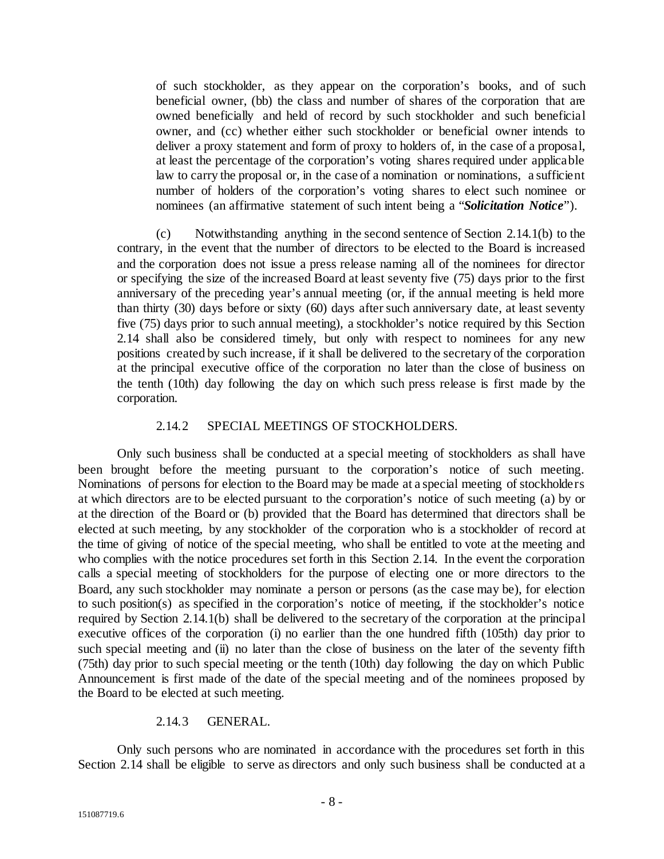of such stockholder, as they appear on the corporation's books, and of such beneficial owner, (bb) the class and number of shares of the corporation that are owned beneficially and held of record by such stockholder and such beneficial owner, and (cc) whether either such stockholder or beneficial owner intends to deliver a proxy statement and form of proxy to holders of, in the case of a proposal, at least the percentage of the corporation's voting shares required under applicable law to carry the proposal or, in the case of a nomination or nominations, a sufficient number of holders of the corporation's voting shares to elect such nominee or nominees (an affirmative statement of such intent being a "*Solicitation Notice*").

(c) Notwithstanding anything in the second sentence of Section 2.14.1(b) to the contrary, in the event that the number of directors to be elected to the Board is increased and the corporation does not issue a press release naming all of the nominees for director or specifying the size of the increased Board at least seventy five (75) days prior to the first anniversary of the preceding year's annual meeting (or, if the annual meeting is held more than thirty (30) days before or sixty (60) days after such anniversary date, at least seventy five (75) days prior to such annual meeting), a stockholder's notice required by this Section 2.14 shall also be considered timely, but only with respect to nominees for any new positions created by such increase, if it shall be delivered to the secretary of the corporation at the principal executive office of the corporation no later than the close of business on the tenth (10th) day following the day on which such press release is first made by the corporation.

#### 2.14.2 SPECIAL MEETINGS OF STOCKHOLDERS.

Only such business shall be conducted at a special meeting of stockholders as shall have been brought before the meeting pursuant to the corporation's notice of such meeting. Nominations of persons for election to the Board may be made at a special meeting of stockholders at which directors are to be elected pursuant to the corporation's notice of such meeting (a) by or at the direction of the Board or (b) provided that the Board has determined that directors shall be elected at such meeting, by any stockholder of the corporation who is a stockholder of record at the time of giving of notice of the special meeting, who shall be entitled to vote at the meeting and who complies with the notice procedures set forth in this Section 2.14. In the event the corporation calls a special meeting of stockholders for the purpose of electing one or more directors to the Board, any such stockholder may nominate a person or persons (as the case may be), for election to such position(s) as specified in the corporation's notice of meeting, if the stockholder's notice required by Section 2.14.1(b) shall be delivered to the secretary of the corporation at the principal executive offices of the corporation (i) no earlier than the one hundred fifth (105th) day prior to such special meeting and (ii) no later than the close of business on the later of the seventy fifth (75th) day prior to such special meeting or the tenth (10th) day following the day on which Public Announcement is first made of the date of the special meeting and of the nominees proposed by the Board to be elected at such meeting.

## 2.14.3 GENERAL.

Only such persons who are nominated in accordance with the procedures set forth in this Section 2.14 shall be eligible to serve as directors and only such business shall be conducted at a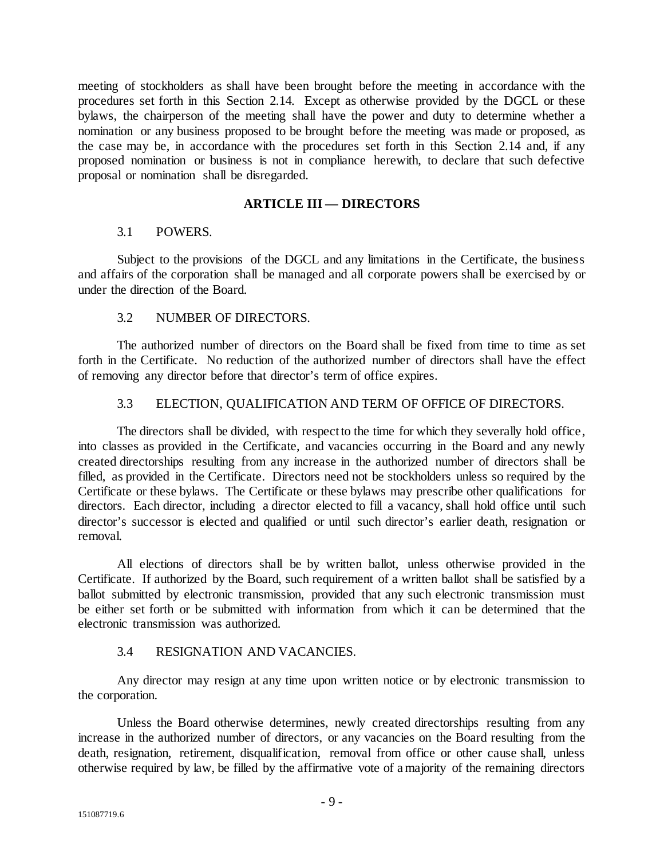meeting of stockholders as shall have been brought before the meeting in accordance with the procedures set forth in this Section 2.14. Except as otherwise provided by the DGCL or these bylaws, the chairperson of the meeting shall have the power and duty to determine whether a nomination or any business proposed to be brought before the meeting was made or proposed, as the case may be, in accordance with the procedures set forth in this Section 2.14 and, if any proposed nomination or business is not in compliance herewith, to declare that such defective proposal or nomination shall be disregarded.

## **ARTICLE III — DIRECTORS**

## <span id="page-12-0"></span>3.1 POWERS.

<span id="page-12-1"></span>Subject to the provisions of the DGCL and any limitations in the Certificate, the business and affairs of the corporation shall be managed and all corporate powers shall be exercised by or under the direction of the Board.

## 3.2 NUMBER OF DIRECTORS.

<span id="page-12-2"></span>The authorized number of directors on the Board shall be fixed from time to time as set forth in the Certificate. No reduction of the authorized number of directors shall have the effect of removing any director before that director's term of office expires.

# 3.3 ELECTION, QUALIFICATION AND TERM OF OFFICE OF DIRECTORS.

<span id="page-12-3"></span>The directors shall be divided, with respect to the time for which they severally hold office, into classes as provided in the Certificate, and vacancies occurring in the Board and any newly created directorships resulting from any increase in the authorized number of directors shall be filled, as provided in the Certificate. Directors need not be stockholders unless so required by the Certificate or these bylaws. The Certificate or these bylaws may prescribe other qualifications for directors. Each director, including a director elected to fill a vacancy, shall hold office until such director's successor is elected and qualified or until such director's earlier death, resignation or removal.

All elections of directors shall be by written ballot, unless otherwise provided in the Certificate. If authorized by the Board, such requirement of a written ballot shall be satisfied by a ballot submitted by electronic transmission, provided that any such electronic transmission must be either set forth or be submitted with information from which it can be determined that the electronic transmission was authorized.

## 3.4 RESIGNATION AND VACANCIES.

<span id="page-12-4"></span>Any director may resign at any time upon written notice or by electronic transmission to the corporation.

Unless the Board otherwise determines, newly created directorships resulting from any increase in the authorized number of directors, or any vacancies on the Board resulting from the death, resignation, retirement, disqualification, removal from office or other cause shall, unless otherwise required by law, be filled by the affirmative vote of a majority of the remaining directors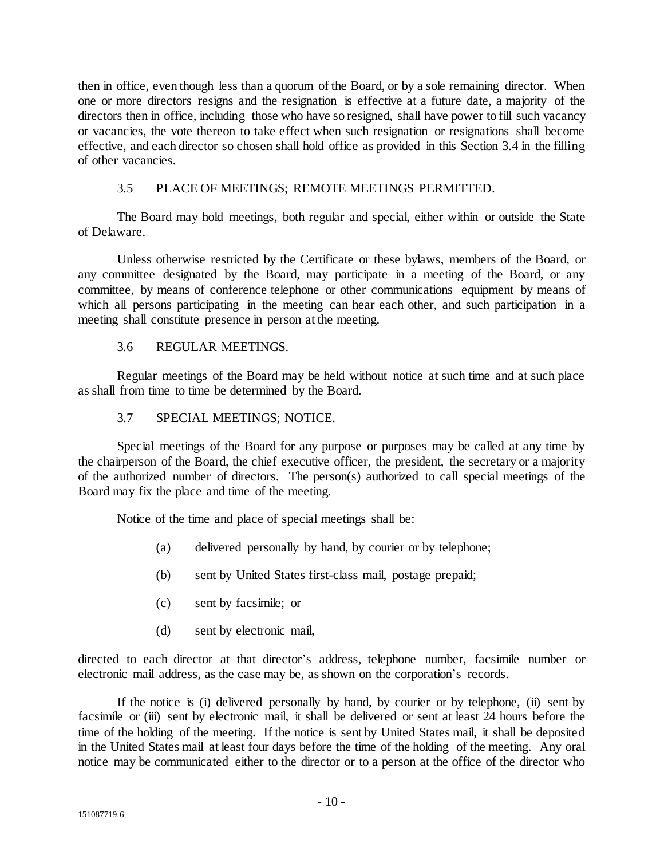then in office, even though less than a quorum of the Board, or by a sole remaining director. When one or more directors resigns and the resignation is effective at a future date, a majority of the directors then in office, including those who have so resigned, shall have power to fill such vacancy or vacancies, the vote thereon to take effect when such resignation or resignations shall become effective, and each director so chosen shall hold office as provided in this Section 3.4 in the filling of other vacancies.

## 3.5 PLACE OF MEETINGS; REMOTE MEETINGS PERMITTED.

<span id="page-13-0"></span>The Board may hold meetings, both regular and special, either within or outside the State of Delaware.

Unless otherwise restricted by the Certificate or these bylaws, members of the Board, or any committee designated by the Board, may participate in a meeting of the Board, or any committee, by means of conference telephone or other communications equipment by means of which all persons participating in the meeting can hear each other, and such participation in a meeting shall constitute presence in person at the meeting.

## 3.6 REGULAR MEETINGS.

<span id="page-13-1"></span>Regular meetings of the Board may be held without notice at such time and at such place as shall from time to time be determined by the Board.

#### 3.7 SPECIAL MEETINGS; NOTICE.

<span id="page-13-2"></span>Special meetings of the Board for any purpose or purposes may be called at any time by the chairperson of the Board, the chief executive officer, the president, the secretary or a majority of the authorized number of directors. The person(s) authorized to call special meetings of the Board may fix the place and time of the meeting.

Notice of the time and place of special meetings shall be:

- (a) delivered personally by hand, by courier or by telephone;
- (b) sent by United States first-class mail, postage prepaid;
- (c) sent by facsimile; or
- (d) sent by electronic mail,

directed to each director at that director's address, telephone number, facsimile number or electronic mail address, as the case may be, as shown on the corporation's records.

If the notice is (i) delivered personally by hand, by courier or by telephone, (ii) sent by facsimile or (iii) sent by electronic mail, it shall be delivered or sent at least 24 hours before the time of the holding of the meeting. If the notice is sent by United States mail, it shall be deposited in the United States mail at least four days before the time of the holding of the meeting. Any oral notice may be communicated either to the director or to a person at the office of the director who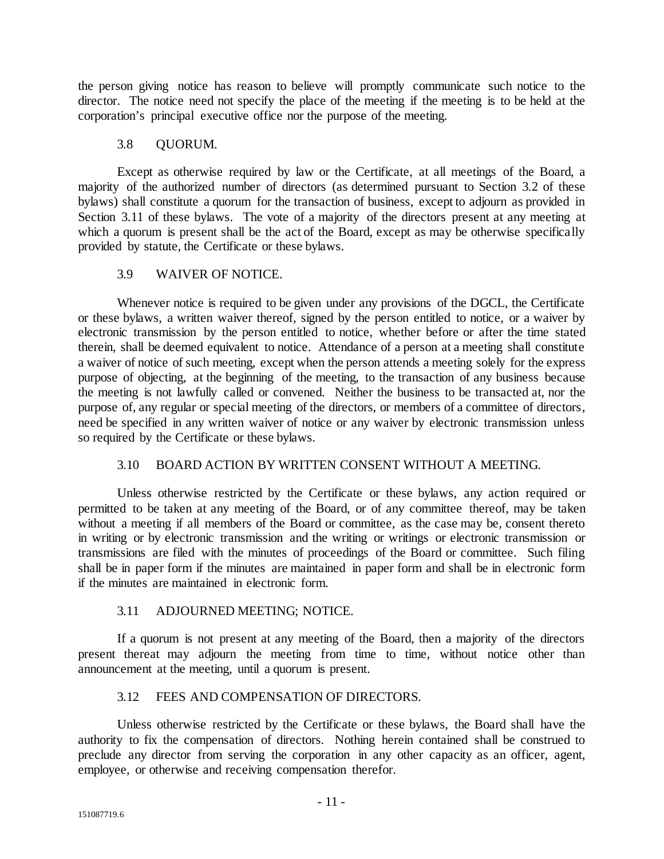the person giving notice has reason to believe will promptly communicate such notice to the director. The notice need not specify the place of the meeting if the meeting is to be held at the corporation's principal executive office nor the purpose of the meeting.

## 3.8 QUORUM.

<span id="page-14-0"></span>Except as otherwise required by law or the Certificate, at all meetings of the Board, a majority of the authorized number of directors (as determined pursuant to Section 3.2 of these bylaws) shall constitute a quorum for the transaction of business, except to adjourn as provided in Section 3.11 of these bylaws. The vote of a majority of the directors present at any meeting at which a quorum is present shall be the act of the Board, except as may be otherwise specifically provided by statute, the Certificate or these bylaws.

## 3.9 WAIVER OF NOTICE.

<span id="page-14-1"></span>Whenever notice is required to be given under any provisions of the DGCL, the Certificate or these bylaws, a written waiver thereof, signed by the person entitled to notice, or a waiver by electronic transmission by the person entitled to notice, whether before or after the time stated therein, shall be deemed equivalent to notice. Attendance of a person at a meeting shall constitute a waiver of notice of such meeting, except when the person attends a meeting solely for the express purpose of objecting, at the beginning of the meeting, to the transaction of any business because the meeting is not lawfully called or convened. Neither the business to be transacted at, nor the purpose of, any regular or special meeting of the directors, or members of a committee of directors, need be specified in any written waiver of notice or any waiver by electronic transmission unless so required by the Certificate or these bylaws.

# 3.10 BOARD ACTION BY WRITTEN CONSENT WITHOUT A MEETING.

<span id="page-14-2"></span>Unless otherwise restricted by the Certificate or these bylaws, any action required or permitted to be taken at any meeting of the Board, or of any committee thereof, may be taken without a meeting if all members of the Board or committee, as the case may be, consent thereto in writing or by electronic transmission and the writing or writings or electronic transmission or transmissions are filed with the minutes of proceedings of the Board or committee. Such filing shall be in paper form if the minutes are maintained in paper form and shall be in electronic form if the minutes are maintained in electronic form.

# 3.11 ADJOURNED MEETING; NOTICE.

<span id="page-14-3"></span>If a quorum is not present at any meeting of the Board, then a majority of the directors present thereat may adjourn the meeting from time to time, without notice other than announcement at the meeting, until a quorum is present.

# 3.12 FEES AND COMPENSATION OF DIRECTORS.

<span id="page-14-4"></span>Unless otherwise restricted by the Certificate or these bylaws, the Board shall have the authority to fix the compensation of directors. Nothing herein contained shall be construed to preclude any director from serving the corporation in any other capacity as an officer, agent, employee, or otherwise and receiving compensation therefor.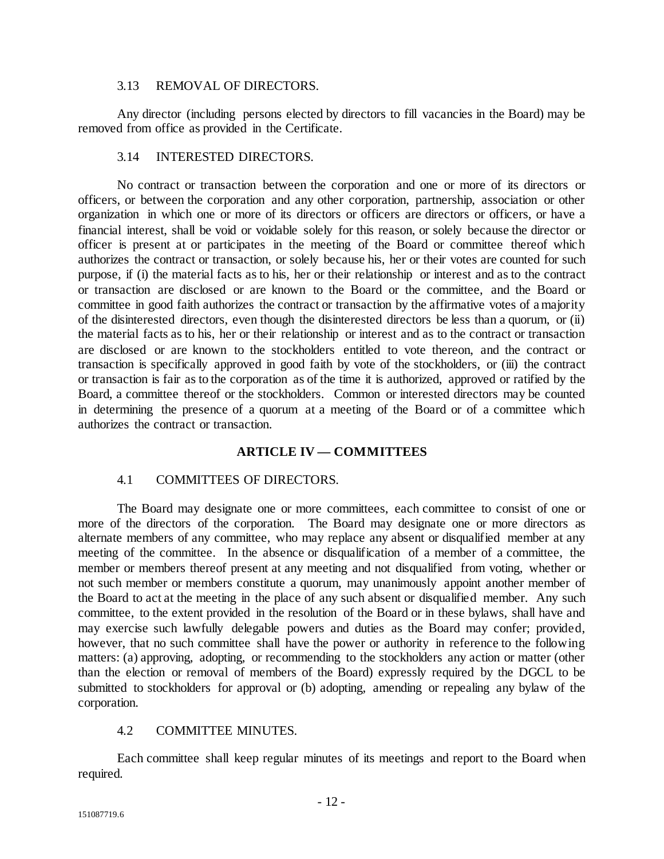#### 3.13 REMOVAL OF DIRECTORS.

<span id="page-15-0"></span>Any director (including persons elected by directors to fill vacancies in the Board) may be removed from office as provided in the Certificate.

#### 3.14 INTERESTED DIRECTORS.

<span id="page-15-1"></span>No contract or transaction between the corporation and one or more of its directors or officers, or between the corporation and any other corporation, partnership, association or other organization in which one or more of its directors or officers are directors or officers, or have a financial interest, shall be void or voidable solely for this reason, or solely because the director or officer is present at or participates in the meeting of the Board or committee thereof which authorizes the contract or transaction, or solely because his, her or their votes are counted for such purpose, if (i) the material facts as to his, her or their relationship or interest and as to the contract or transaction are disclosed or are known to the Board or the committee, and the Board or committee in good faith authorizes the contract or transaction by the affirmative votes of a majority of the disinterested directors, even though the disinterested directors be less than a quorum, or (ii) the material facts as to his, her or their relationship or interest and as to the contract or transaction are disclosed or are known to the stockholders entitled to vote thereon, and the contract or transaction is specifically approved in good faith by vote of the stockholders, or (iii) the contract or transaction is fair as to the corporation as of the time it is authorized, approved or ratified by the Board, a committee thereof or the stockholders. Common or interested directors may be counted in determining the presence of a quorum at a meeting of the Board or of a committee which authorizes the contract or transaction.

## **ARTICLE IV — COMMITTEES**

## <span id="page-15-2"></span>4.1 COMMITTEES OF DIRECTORS.

<span id="page-15-3"></span>The Board may designate one or more committees, each committee to consist of one or more of the directors of the corporation. The Board may designate one or more directors as alternate members of any committee, who may replace any absent or disqualified member at any meeting of the committee. In the absence or disqualification of a member of a committee, the member or members thereof present at any meeting and not disqualified from voting, whether or not such member or members constitute a quorum, may unanimously appoint another member of the Board to act at the meeting in the place of any such absent or disqualified member. Any such committee, to the extent provided in the resolution of the Board or in these bylaws, shall have and may exercise such lawfully delegable powers and duties as the Board may confer; provided, however, that no such committee shall have the power or authority in reference to the following matters: (a) approving, adopting, or recommending to the stockholders any action or matter (other than the election or removal of members of the Board) expressly required by the DGCL to be submitted to stockholders for approval or (b) adopting, amending or repealing any bylaw of the corporation.

## 4.2 COMMITTEE MINUTES.

<span id="page-15-4"></span>Each committee shall keep regular minutes of its meetings and report to the Board when required.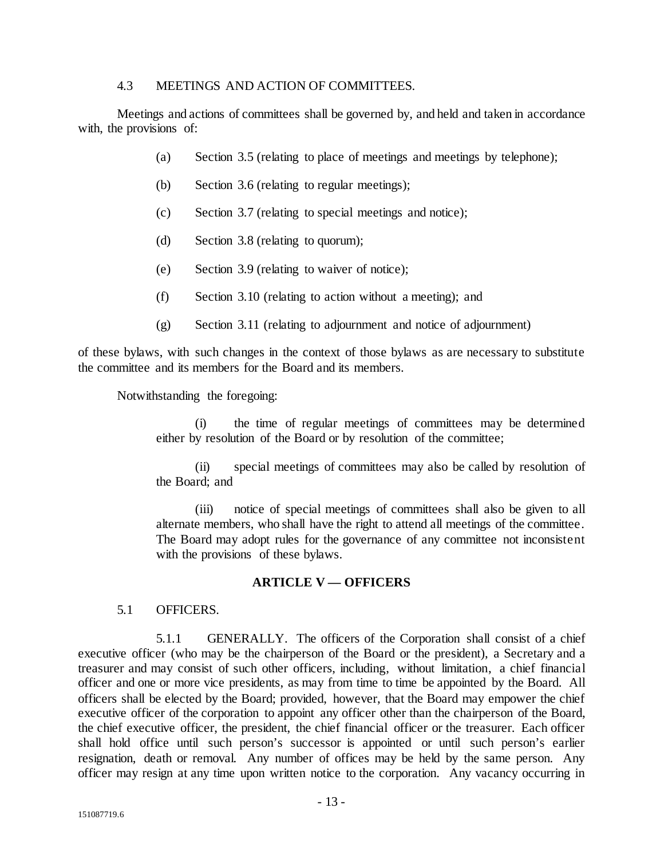#### 4.3 MEETINGS AND ACTION OF COMMITTEES.

<span id="page-16-0"></span>Meetings and actions of committees shall be governed by, and held and taken in accordance with, the provisions of:

- (a) Section 3.5 (relating to place of meetings and meetings by telephone);
- (b) Section 3.6 (relating to regular meetings);
- (c) Section 3.7 (relating to special meetings and notice);
- (d) Section 3.8 (relating to quorum);
- (e) Section 3.9 (relating to waiver of notice);
- (f) Section 3.10 (relating to action without a meeting); and
- (g) Section 3.11 (relating to adjournment and notice of adjournment)

of these bylaws, with such changes in the context of those bylaws as are necessary to substitute the committee and its members for the Board and its members.

Notwithstanding the foregoing:

(i) the time of regular meetings of committees may be determined either by resolution of the Board or by resolution of the committee;

(ii) special meetings of committees may also be called by resolution of the Board; and

(iii) notice of special meetings of committees shall also be given to all alternate members, who shall have the right to attend all meetings of the committee. The Board may adopt rules for the governance of any committee not inconsistent with the provisions of these bylaws.

## **ARTICLE V — OFFICERS**

## <span id="page-16-1"></span>5.1 OFFICERS.

<span id="page-16-2"></span>5.1.1 GENERALLY. The officers of the Corporation shall consist of a chief executive officer (who may be the chairperson of the Board or the president), a Secretary and a treasurer and may consist of such other officers, including, without limitation, a chief financial officer and one or more vice presidents, as may from time to time be appointed by the Board. All officers shall be elected by the Board; provided, however, that the Board may empower the chief executive officer of the corporation to appoint any officer other than the chairperson of the Board, the chief executive officer, the president, the chief financial officer or the treasurer. Each officer shall hold office until such person's successor is appointed or until such person's earlier resignation, death or removal. Any number of offices may be held by the same person. Any officer may resign at any time upon written notice to the corporation. Any vacancy occurring in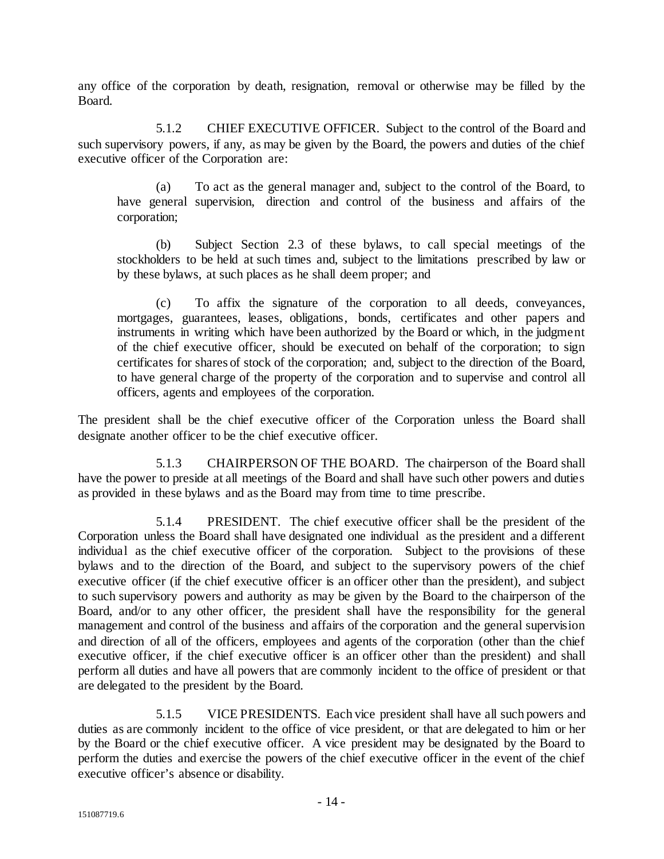any office of the corporation by death, resignation, removal or otherwise may be filled by the Board.

5.1.2 CHIEF EXECUTIVE OFFICER. Subject to the control of the Board and such supervisory powers, if any, as may be given by the Board, the powers and duties of the chief executive officer of the Corporation are:

(a) To act as the general manager and, subject to the control of the Board, to have general supervision, direction and control of the business and affairs of the corporation;

(b) Subject Section 2.3 of these bylaws, to call special meetings of the stockholders to be held at such times and, subject to the limitations prescribed by law or by these bylaws, at such places as he shall deem proper; and

(c) To affix the signature of the corporation to all deeds, conveyances, mortgages, guarantees, leases, obligations, bonds, certificates and other papers and instruments in writing which have been authorized by the Board or which, in the judgment of the chief executive officer, should be executed on behalf of the corporation; to sign certificates for shares of stock of the corporation; and, subject to the direction of the Board, to have general charge of the property of the corporation and to supervise and control all officers, agents and employees of the corporation.

The president shall be the chief executive officer of the Corporation unless the Board shall designate another officer to be the chief executive officer.

5.1.3 CHAIRPERSON OF THE BOARD. The chairperson of the Board shall have the power to preside at all meetings of the Board and shall have such other powers and duties as provided in these bylaws and as the Board may from time to time prescribe.

5.1.4 PRESIDENT. The chief executive officer shall be the president of the Corporation unless the Board shall have designated one individual as the president and a different individual as the chief executive officer of the corporation. Subject to the provisions of these bylaws and to the direction of the Board, and subject to the supervisory powers of the chief executive officer (if the chief executive officer is an officer other than the president), and subject to such supervisory powers and authority as may be given by the Board to the chairperson of the Board, and/or to any other officer, the president shall have the responsibility for the general management and control of the business and affairs of the corporation and the general supervision and direction of all of the officers, employees and agents of the corporation (other than the chief executive officer, if the chief executive officer is an officer other than the president) and shall perform all duties and have all powers that are commonly incident to the office of president or that are delegated to the president by the Board.

5.1.5 VICE PRESIDENTS. Each vice president shall have all such powers and duties as are commonly incident to the office of vice president, or that are delegated to him or her by the Board or the chief executive officer. A vice president may be designated by the Board to perform the duties and exercise the powers of the chief executive officer in the event of the chief executive officer's absence or disability.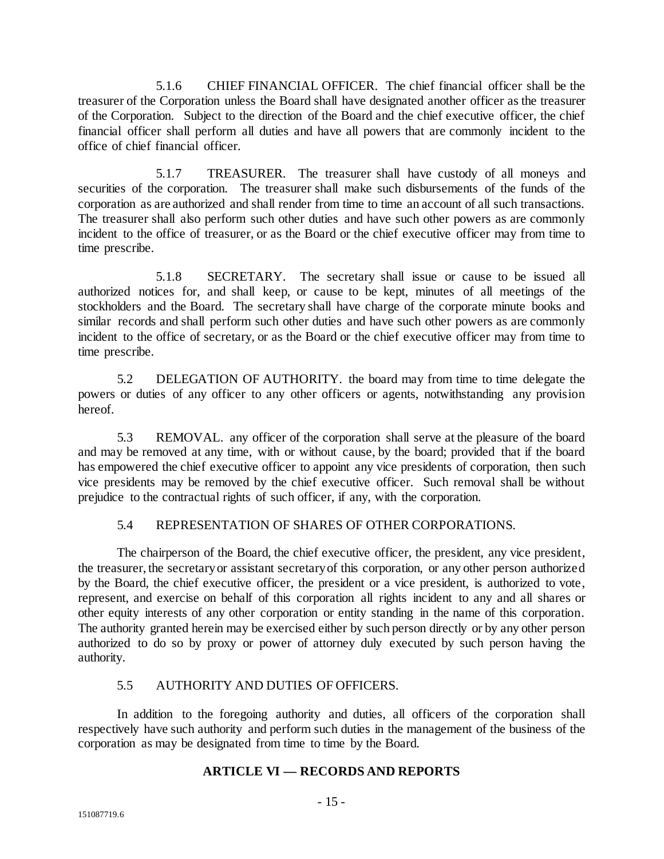5.1.6 CHIEF FINANCIAL OFFICER. The chief financial officer shall be the treasurer of the Corporation unless the Board shall have designated another officer as the treasurer of the Corporation. Subject to the direction of the Board and the chief executive officer, the chief financial officer shall perform all duties and have all powers that are commonly incident to the office of chief financial officer.

5.1.7 TREASURER. The treasurer shall have custody of all moneys and securities of the corporation. The treasurer shall make such disbursements of the funds of the corporation as are authorized and shall render from time to time an account of all such transactions. The treasurer shall also perform such other duties and have such other powers as are commonly incident to the office of treasurer, or as the Board or the chief executive officer may from time to time prescribe.

5.1.8 SECRETARY. The secretary shall issue or cause to be issued all authorized notices for, and shall keep, or cause to be kept, minutes of all meetings of the stockholders and the Board. The secretary shall have charge of the corporate minute books and similar records and shall perform such other duties and have such other powers as are commonly incident to the office of secretary, or as the Board or the chief executive officer may from time to time prescribe.

<span id="page-18-0"></span>5.2 DELEGATION OF AUTHORITY. the board may from time to time delegate the powers or duties of any officer to any other officers or agents, notwithstanding any provision hereof.

<span id="page-18-1"></span>5.3 REMOVAL. any officer of the corporation shall serve at the pleasure of the board and may be removed at any time, with or without cause, by the board; provided that if the board has empowered the chief executive officer to appoint any vice presidents of corporation, then such vice presidents may be removed by the chief executive officer. Such removal shall be without prejudice to the contractual rights of such officer, if any, with the corporation.

# 5.4 REPRESENTATION OF SHARES OF OTHER CORPORATIONS.

<span id="page-18-2"></span>The chairperson of the Board, the chief executive officer, the president, any vice president, the treasurer, the secretary or assistant secretary of this corporation, or any other person authorized by the Board, the chief executive officer, the president or a vice president, is authorized to vote, represent, and exercise on behalf of this corporation all rights incident to any and all shares or other equity interests of any other corporation or entity standing in the name of this corporation. The authority granted herein may be exercised either by such person directly or by any other person authorized to do so by proxy or power of attorney duly executed by such person having the authority.

# 5.5 AUTHORITY AND DUTIES OF OFFICERS.

<span id="page-18-4"></span><span id="page-18-3"></span>In addition to the foregoing authority and duties, all officers of the corporation shall respectively have such authority and perform such duties in the management of the business of the corporation as may be designated from time to time by the Board.

# **ARTICLE VI — RECORDS AND REPORTS**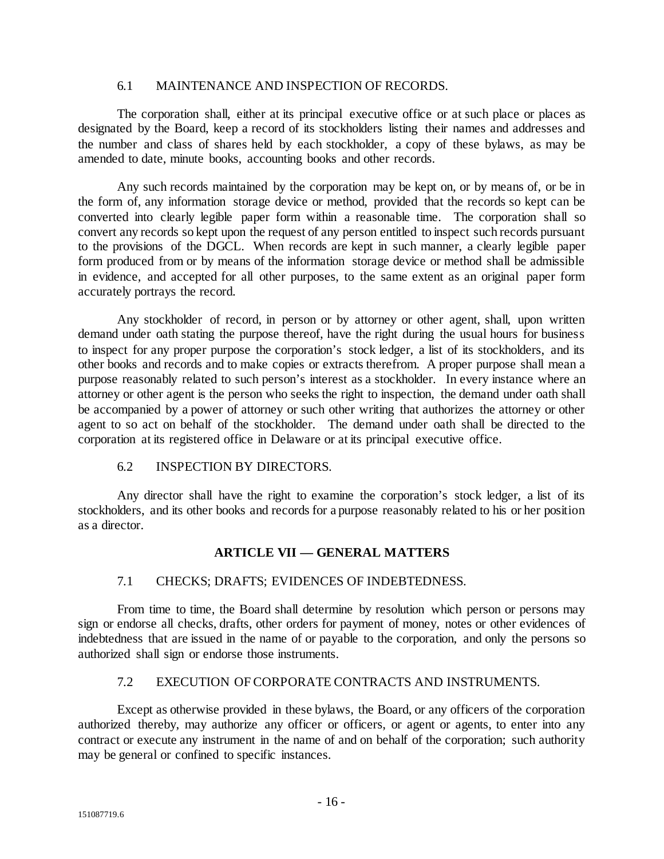#### 6.1 MAINTENANCE AND INSPECTION OF RECORDS.

<span id="page-19-0"></span>The corporation shall, either at its principal executive office or at such place or places as designated by the Board, keep a record of its stockholders listing their names and addresses and the number and class of shares held by each stockholder, a copy of these bylaws, as may be amended to date, minute books, accounting books and other records.

Any such records maintained by the corporation may be kept on, or by means of, or be in the form of, any information storage device or method, provided that the records so kept can be converted into clearly legible paper form within a reasonable time. The corporation shall so convert any records so kept upon the request of any person entitled to inspect such records pursuant to the provisions of the DGCL. When records are kept in such manner, a clearly legible paper form produced from or by means of the information storage device or method shall be admissible in evidence, and accepted for all other purposes, to the same extent as an original paper form accurately portrays the record.

Any stockholder of record, in person or by attorney or other agent, shall, upon written demand under oath stating the purpose thereof, have the right during the usual hours for business to inspect for any proper purpose the corporation's stock ledger, a list of its stockholders, and its other books and records and to make copies or extracts therefrom. A proper purpose shall mean a purpose reasonably related to such person's interest as a stockholder. In every instance where an attorney or other agent is the person who seeks the right to inspection, the demand under oath shall be accompanied by a power of attorney or such other writing that authorizes the attorney or other agent to so act on behalf of the stockholder. The demand under oath shall be directed to the corporation at its registered office in Delaware or at its principal executive office.

## 6.2 INSPECTION BY DIRECTORS.

<span id="page-19-1"></span>Any director shall have the right to examine the corporation's stock ledger, a list of its stockholders, and its other books and records for a purpose reasonably related to his or her position as a director.

# **ARTICLE VII — GENERAL MATTERS**

# <span id="page-19-2"></span>7.1 CHECKS; DRAFTS; EVIDENCES OF INDEBTEDNESS.

<span id="page-19-3"></span>From time to time, the Board shall determine by resolution which person or persons may sign or endorse all checks, drafts, other orders for payment of money, notes or other evidences of indebtedness that are issued in the name of or payable to the corporation, and only the persons so authorized shall sign or endorse those instruments.

# 7.2 EXECUTION OF CORPORATE CONTRACTS AND INSTRUMENTS.

<span id="page-19-4"></span>Except as otherwise provided in these bylaws, the Board, or any officers of the corporation authorized thereby, may authorize any officer or officers, or agent or agents, to enter into any contract or execute any instrument in the name of and on behalf of the corporation; such authority may be general or confined to specific instances.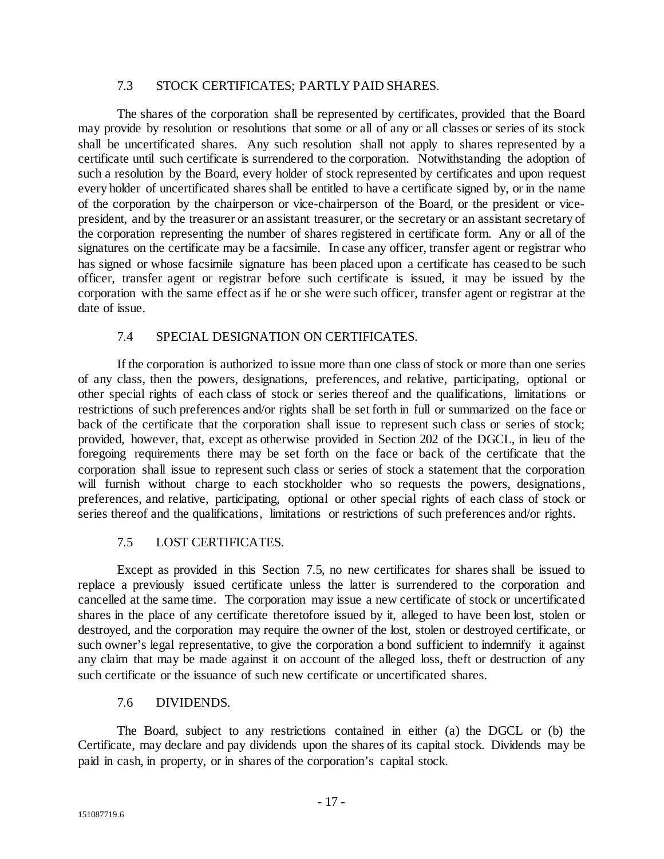## 7.3 STOCK CERTIFICATES; PARTLY PAID SHARES.

<span id="page-20-0"></span>The shares of the corporation shall be represented by certificates, provided that the Board may provide by resolution or resolutions that some or all of any or all classes or series of its stock shall be uncertificated shares. Any such resolution shall not apply to shares represented by a certificate until such certificate is surrendered to the corporation. Notwithstanding the adoption of such a resolution by the Board, every holder of stock represented by certificates and upon request every holder of uncertificated shares shall be entitled to have a certificate signed by, or in the name of the corporation by the chairperson or vice-chairperson of the Board, or the president or vicepresident, and by the treasurer or an assistant treasurer, or the secretary or an assistant secretary of the corporation representing the number of shares registered in certificate form. Any or all of the signatures on the certificate may be a facsimile. In case any officer, transfer agent or registrar who has signed or whose facsimile signature has been placed upon a certificate has ceased to be such officer, transfer agent or registrar before such certificate is issued, it may be issued by the corporation with the same effect as if he or she were such officer, transfer agent or registrar at the date of issue.

## 7.4 SPECIAL DESIGNATION ON CERTIFICATES.

<span id="page-20-1"></span>If the corporation is authorized to issue more than one class of stock or more than one series of any class, then the powers, designations, preferences, and relative, participating, optional or other special rights of each class of stock or series thereof and the qualifications, limitations or restrictions of such preferences and/or rights shall be set forth in full or summarized on the face or back of the certificate that the corporation shall issue to represent such class or series of stock; provided, however, that, except as otherwise provided in Section 202 of the DGCL, in lieu of the foregoing requirements there may be set forth on the face or back of the certificate that the corporation shall issue to represent such class or series of stock a statement that the corporation will furnish without charge to each stockholder who so requests the powers, designations, preferences, and relative, participating, optional or other special rights of each class of stock or series thereof and the qualifications, limitations or restrictions of such preferences and/or rights.

## 7.5 LOST CERTIFICATES.

<span id="page-20-2"></span>Except as provided in this Section 7.5, no new certificates for shares shall be issued to replace a previously issued certificate unless the latter is surrendered to the corporation and cancelled at the same time. The corporation may issue a new certificate of stock or uncertificated shares in the place of any certificate theretofore issued by it, alleged to have been lost, stolen or destroyed, and the corporation may require the owner of the lost, stolen or destroyed certificate, or such owner's legal representative, to give the corporation a bond sufficient to indemnify it against any claim that may be made against it on account of the alleged loss, theft or destruction of any such certificate or the issuance of such new certificate or uncertificated shares.

## 7.6 DIVIDENDS.

<span id="page-20-3"></span>The Board, subject to any restrictions contained in either (a) the DGCL or (b) the Certificate, may declare and pay dividends upon the shares of its capital stock. Dividends may be paid in cash, in property, or in shares of the corporation's capital stock.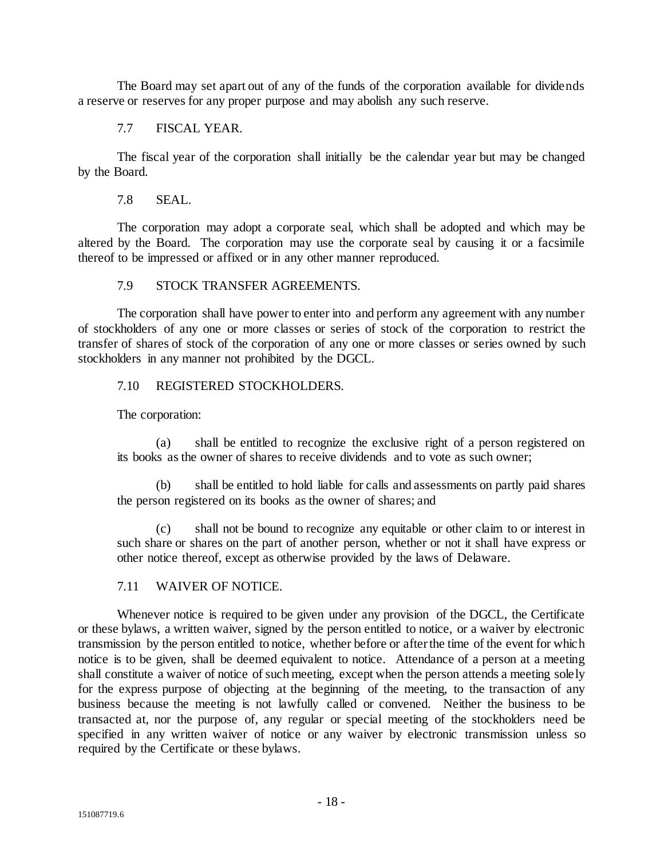The Board may set apart out of any of the funds of the corporation available for dividends a reserve or reserves for any proper purpose and may abolish any such reserve.

7.7 FISCAL YEAR.

<span id="page-21-0"></span>The fiscal year of the corporation shall initially be the calendar year but may be changed by the Board.

## 7.8 SEAL.

<span id="page-21-1"></span>The corporation may adopt a corporate seal, which shall be adopted and which may be altered by the Board. The corporation may use the corporate seal by causing it or a facsimile thereof to be impressed or affixed or in any other manner reproduced.

## 7.9 STOCK TRANSFER AGREEMENTS.

<span id="page-21-2"></span>The corporation shall have power to enter into and perform any agreement with any number of stockholders of any one or more classes or series of stock of the corporation to restrict the transfer of shares of stock of the corporation of any one or more classes or series owned by such stockholders in any manner not prohibited by the DGCL.

# <span id="page-21-3"></span>7.10 REGISTERED STOCKHOLDERS.

The corporation:

(a) shall be entitled to recognize the exclusive right of a person registered on its books as the owner of shares to receive dividends and to vote as such owner;

(b) shall be entitled to hold liable for calls and assessments on partly paid shares the person registered on its books as the owner of shares; and

(c) shall not be bound to recognize any equitable or other claim to or interest in such share or shares on the part of another person, whether or not it shall have express or other notice thereof, except as otherwise provided by the laws of Delaware.

# 7.11 WAIVER OF NOTICE.

<span id="page-21-4"></span>Whenever notice is required to be given under any provision of the DGCL, the Certificate or these bylaws, a written waiver, signed by the person entitled to notice, or a waiver by electronic transmission by the person entitled to notice, whether before or after the time of the event for which notice is to be given, shall be deemed equivalent to notice. Attendance of a person at a meeting shall constitute a waiver of notice of such meeting, except when the person attends a meeting solely for the express purpose of objecting at the beginning of the meeting, to the transaction of any business because the meeting is not lawfully called or convened. Neither the business to be transacted at, nor the purpose of, any regular or special meeting of the stockholders need be specified in any written waiver of notice or any waiver by electronic transmission unless so required by the Certificate or these bylaws.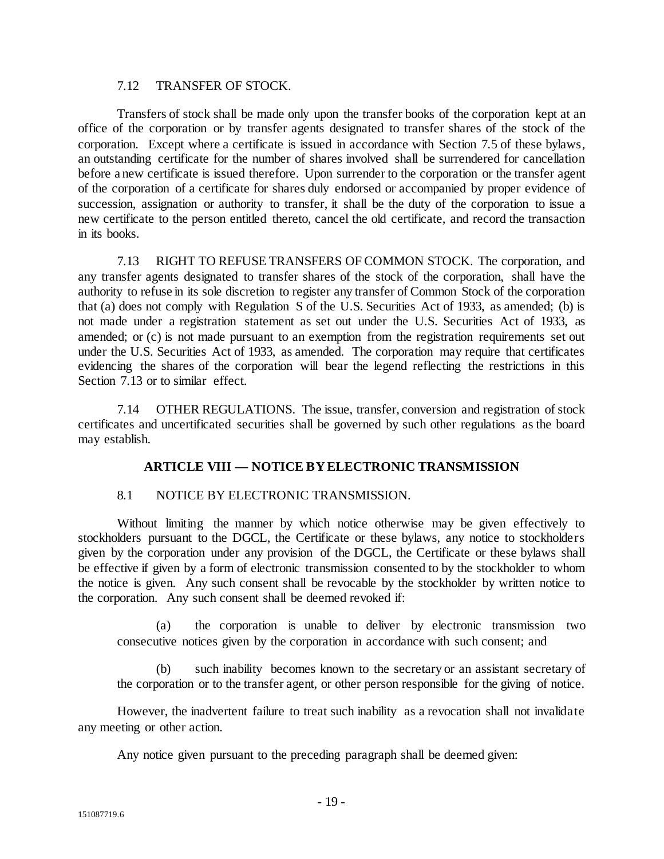#### 7.12 TRANSFER OF STOCK.

<span id="page-22-0"></span>Transfers of stock shall be made only upon the transfer books of the corporation kept at an office of the corporation or by transfer agents designated to transfer shares of the stock of the corporation. Except where a certificate is issued in accordance with Section 7.5 of these bylaws, an outstanding certificate for the number of shares involved shall be surrendered for cancellation before a new certificate is issued therefore. Upon surrender to the corporation or the transfer agent of the corporation of a certificate for shares duly endorsed or accompanied by proper evidence of succession, assignation or authority to transfer, it shall be the duty of the corporation to issue a new certificate to the person entitled thereto, cancel the old certificate, and record the transaction in its books.

<span id="page-22-1"></span>7.13 RIGHT TO REFUSE TRANSFERS OF COMMON STOCK. The corporation, and any transfer agents designated to transfer shares of the stock of the corporation, shall have the authority to refuse in its sole discretion to register any transfer of Common Stock of the corporation that (a) does not comply with Regulation S of the U.S. Securities Act of 1933, as amended; (b) is not made under a registration statement as set out under the U.S. Securities Act of 1933, as amended; or (c) is not made pursuant to an exemption from the registration requirements set out under the U.S. Securities Act of 1933, as amended. The corporation may require that certificates evidencing the shares of the corporation will bear the legend reflecting the restrictions in this Section 7.13 or to similar effect.

<span id="page-22-2"></span>7.14 OTHER REGULATIONS. The issue, transfer, conversion and registration of stock certificates and uncertificated securities shall be governed by such other regulations as the board may establish.

## **ARTICLE VIII — NOTICE BY ELECTRONIC TRANSMISSION**

## <span id="page-22-3"></span>8.1 NOTICE BY ELECTRONIC TRANSMISSION.

<span id="page-22-4"></span>Without limiting the manner by which notice otherwise may be given effectively to stockholders pursuant to the DGCL, the Certificate or these bylaws, any notice to stockholders given by the corporation under any provision of the DGCL, the Certificate or these bylaws shall be effective if given by a form of electronic transmission consented to by the stockholder to whom the notice is given. Any such consent shall be revocable by the stockholder by written notice to the corporation. Any such consent shall be deemed revoked if:

(a) the corporation is unable to deliver by electronic transmission two consecutive notices given by the corporation in accordance with such consent; and

(b) such inability becomes known to the secretary or an assistant secretary of the corporation or to the transfer agent, or other person responsible for the giving of notice.

However, the inadvertent failure to treat such inability as a revocation shall not invalidate any meeting or other action.

Any notice given pursuant to the preceding paragraph shall be deemed given: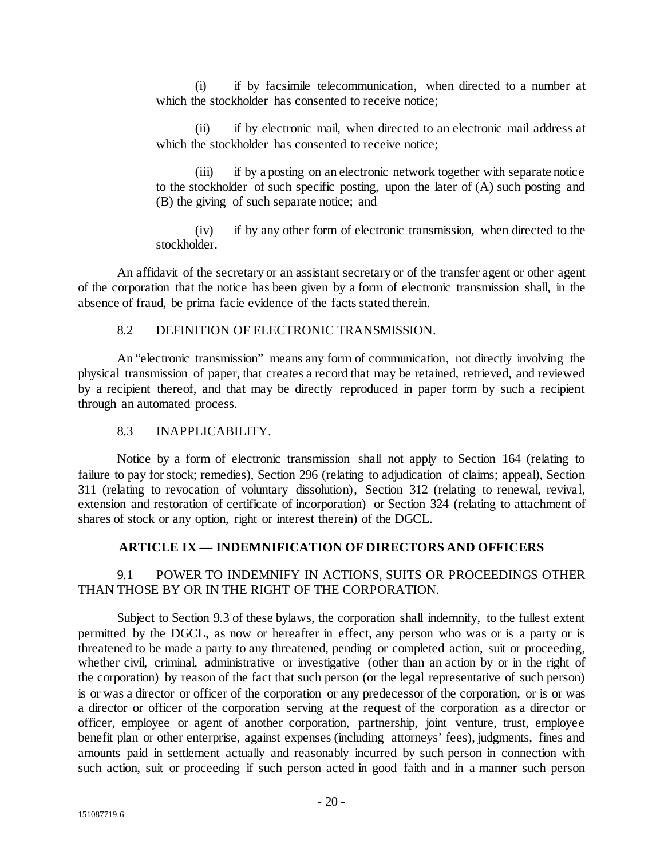if by facsimile telecommunication, when directed to a number at which the stockholder has consented to receive notice;

(ii) if by electronic mail, when directed to an electronic mail address at which the stockholder has consented to receive notice;

(iii) if by a posting on an electronic network together with separate notice to the stockholder of such specific posting, upon the later of (A) such posting and (B) the giving of such separate notice; and

(iv) if by any other form of electronic transmission, when directed to the stockholder.

An affidavit of the secretary or an assistant secretary or of the transfer agent or other agent of the corporation that the notice has been given by a form of electronic transmission shall, in the absence of fraud, be prima facie evidence of the facts stated therein.

## 8.2 DEFINITION OF ELECTRONIC TRANSMISSION.

<span id="page-23-0"></span>An "electronic transmission" means any form of communication, not directly involving the physical transmission of paper, that creates a record that may be retained, retrieved, and reviewed by a recipient thereof, and that may be directly reproduced in paper form by such a recipient through an automated process.

#### 8.3 INAPPLICABILITY.

<span id="page-23-1"></span>Notice by a form of electronic transmission shall not apply to Section 164 (relating to failure to pay for stock; remedies), Section 296 (relating to adjudication of claims; appeal), Section 311 (relating to revocation of voluntary dissolution), Section 312 (relating to renewal, revival, extension and restoration of certificate of incorporation) or Section 324 (relating to attachment of shares of stock or any option, right or interest therein) of the DGCL.

## **ARTICLE IX — INDEMNIFICATION OF DIRECTORS AND OFFICERS**

## <span id="page-23-3"></span><span id="page-23-2"></span>9.1 POWER TO INDEMNIFY IN ACTIONS, SUITS OR PROCEEDINGS OTHER THAN THOSE BY OR IN THE RIGHT OF THE CORPORATION.

Subject to Section 9.3 of these bylaws, the corporation shall indemnify, to the fullest extent permitted by the DGCL, as now or hereafter in effect, any person who was or is a party or is threatened to be made a party to any threatened, pending or completed action, suit or proceeding, whether civil, criminal, administrative or investigative (other than an action by or in the right of the corporation) by reason of the fact that such person (or the legal representative of such person) is or was a director or officer of the corporation or any predecessor of the corporation, or is or was a director or officer of the corporation serving at the request of the corporation as a director or officer, employee or agent of another corporation, partnership, joint venture, trust, employee benefit plan or other enterprise, against expenses (including attorneys' fees), judgments, fines and amounts paid in settlement actually and reasonably incurred by such person in connection with such action, suit or proceeding if such person acted in good faith and in a manner such person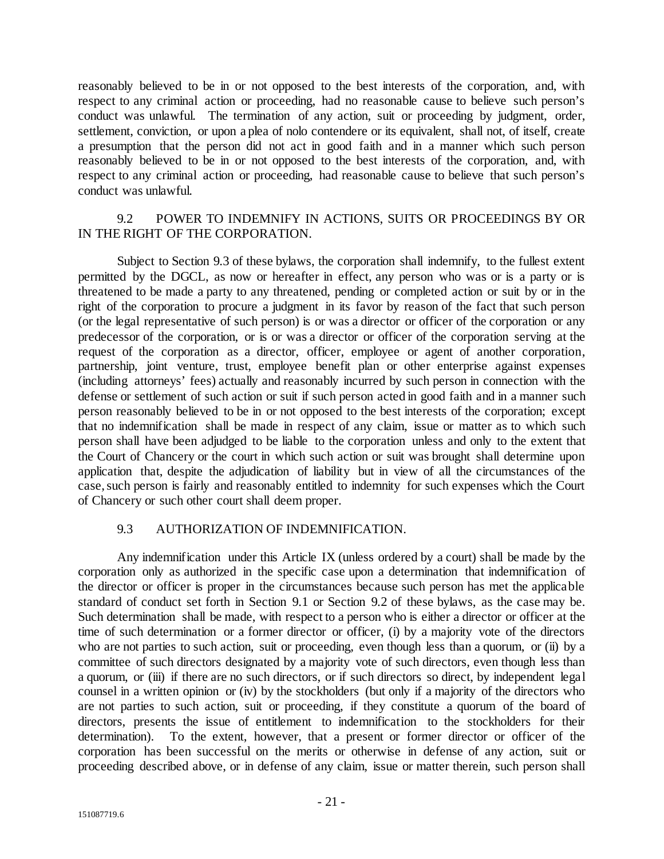reasonably believed to be in or not opposed to the best interests of the corporation, and, with respect to any criminal action or proceeding, had no reasonable cause to believe such person's conduct was unlawful. The termination of any action, suit or proceeding by judgment, order, settlement, conviction, or upon a plea of nolo contendere or its equivalent, shall not, of itself, create a presumption that the person did not act in good faith and in a manner which such person reasonably believed to be in or not opposed to the best interests of the corporation, and, with respect to any criminal action or proceeding, had reasonable cause to believe that such person's conduct was unlawful.

## <span id="page-24-0"></span>9.2 POWER TO INDEMNIFY IN ACTIONS, SUITS OR PROCEEDINGS BY OR IN THE RIGHT OF THE CORPORATION.

Subject to Section 9.3 of these bylaws, the corporation shall indemnify, to the fullest extent permitted by the DGCL, as now or hereafter in effect, any person who was or is a party or is threatened to be made a party to any threatened, pending or completed action or suit by or in the right of the corporation to procure a judgment in its favor by reason of the fact that such person (or the legal representative of such person) is or was a director or officer of the corporation or any predecessor of the corporation, or is or was a director or officer of the corporation serving at the request of the corporation as a director, officer, employee or agent of another corporation, partnership, joint venture, trust, employee benefit plan or other enterprise against expenses (including attorneys' fees) actually and reasonably incurred by such person in connection with the defense or settlement of such action or suit if such person acted in good faith and in a manner such person reasonably believed to be in or not opposed to the best interests of the corporation; except that no indemnification shall be made in respect of any claim, issue or matter as to which such person shall have been adjudged to be liable to the corporation unless and only to the extent that the Court of Chancery or the court in which such action or suit was brought shall determine upon application that, despite the adjudication of liability but in view of all the circumstances of the case, such person is fairly and reasonably entitled to indemnity for such expenses which the Court of Chancery or such other court shall deem proper.

## 9.3 AUTHORIZATION OF INDEMNIFICATION.

<span id="page-24-1"></span>Any indemnification under this Article IX (unless ordered by a court) shall be made by the corporation only as authorized in the specific case upon a determination that indemnification of the director or officer is proper in the circumstances because such person has met the applicable standard of conduct set forth in Section 9.1 or Section 9.2 of these bylaws, as the case may be. Such determination shall be made, with respect to a person who is either a director or officer at the time of such determination or a former director or officer, (i) by a majority vote of the directors who are not parties to such action, suit or proceeding, even though less than a quorum, or (ii) by a committee of such directors designated by a majority vote of such directors, even though less than a quorum, or (iii) if there are no such directors, or if such directors so direct, by independent legal counsel in a written opinion or (iv) by the stockholders (but only if a majority of the directors who are not parties to such action, suit or proceeding, if they constitute a quorum of the board of directors, presents the issue of entitlement to indemnification to the stockholders for their determination). To the extent, however, that a present or former director or officer of the corporation has been successful on the merits or otherwise in defense of any action, suit or proceeding described above, or in defense of any claim, issue or matter therein, such person shall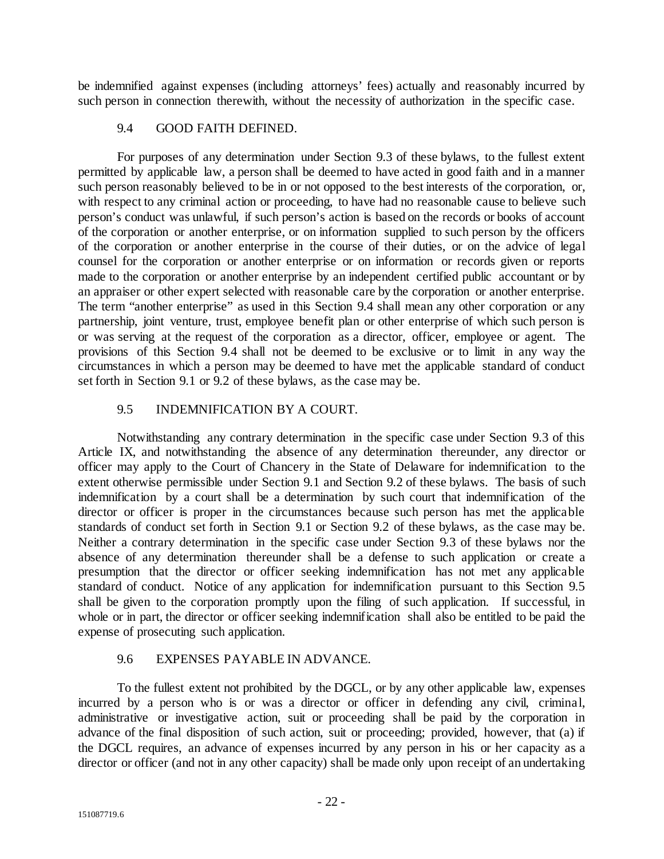be indemnified against expenses (including attorneys' fees) actually and reasonably incurred by such person in connection therewith, without the necessity of authorization in the specific case.

## 9.4 GOOD FAITH DEFINED.

<span id="page-25-0"></span>For purposes of any determination under Section 9.3 of these bylaws, to the fullest extent permitted by applicable law, a person shall be deemed to have acted in good faith and in a manner such person reasonably believed to be in or not opposed to the best interests of the corporation, or, with respect to any criminal action or proceeding, to have had no reasonable cause to believe such person's conduct was unlawful, if such person's action is based on the records or books of account of the corporation or another enterprise, or on information supplied to such person by the officers of the corporation or another enterprise in the course of their duties, or on the advice of legal counsel for the corporation or another enterprise or on information or records given or reports made to the corporation or another enterprise by an independent certified public accountant or by an appraiser or other expert selected with reasonable care by the corporation or another enterprise. The term "another enterprise" as used in this Section 9.4 shall mean any other corporation or any partnership, joint venture, trust, employee benefit plan or other enterprise of which such person is or was serving at the request of the corporation as a director, officer, employee or agent. The provisions of this Section 9.4 shall not be deemed to be exclusive or to limit in any way the circumstances in which a person may be deemed to have met the applicable standard of conduct set forth in Section 9.1 or 9.2 of these bylaws, as the case may be.

# 9.5 INDEMNIFICATION BY A COURT.

<span id="page-25-1"></span>Notwithstanding any contrary determination in the specific case under Section 9.3 of this Article IX, and notwithstanding the absence of any determination thereunder, any director or officer may apply to the Court of Chancery in the State of Delaware for indemnification to the extent otherwise permissible under Section 9.1 and Section 9.2 of these bylaws. The basis of such indemnification by a court shall be a determination by such court that indemnification of the director or officer is proper in the circumstances because such person has met the applicable standards of conduct set forth in Section 9.1 or Section 9.2 of these bylaws, as the case may be. Neither a contrary determination in the specific case under Section 9.3 of these bylaws nor the absence of any determination thereunder shall be a defense to such application or create a presumption that the director or officer seeking indemnification has not met any applicable standard of conduct. Notice of any application for indemnification pursuant to this Section 9.5 shall be given to the corporation promptly upon the filing of such application. If successful, in whole or in part, the director or officer seeking indemnification shall also be entitled to be paid the expense of prosecuting such application.

# 9.6 EXPENSES PAYABLE IN ADVANCE.

<span id="page-25-2"></span>To the fullest extent not prohibited by the DGCL, or by any other applicable law, expenses incurred by a person who is or was a director or officer in defending any civil, criminal, administrative or investigative action, suit or proceeding shall be paid by the corporation in advance of the final disposition of such action, suit or proceeding; provided, however, that (a) if the DGCL requires, an advance of expenses incurred by any person in his or her capacity as a director or officer (and not in any other capacity) shall be made only upon receipt of an undertaking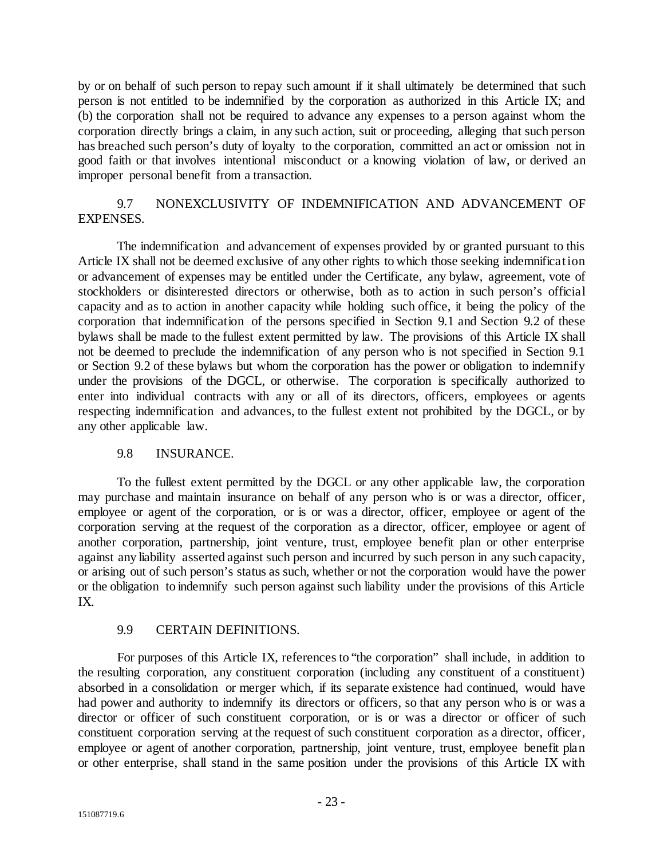by or on behalf of such person to repay such amount if it shall ultimately be determined that such person is not entitled to be indemnified by the corporation as authorized in this Article IX; and (b) the corporation shall not be required to advance any expenses to a person against whom the corporation directly brings a claim, in any such action, suit or proceeding, alleging that such person has breached such person's duty of loyalty to the corporation, committed an act or omission not in good faith or that involves intentional misconduct or a knowing violation of law, or derived an improper personal benefit from a transaction.

# <span id="page-26-0"></span>9.7 NONEXCLUSIVITY OF INDEMNIFICATION AND ADVANCEMENT OF EXPENSES.

The indemnification and advancement of expenses provided by or granted pursuant to this Article IX shall not be deemed exclusive of any other rights to which those seeking indemnification or advancement of expenses may be entitled under the Certificate, any bylaw, agreement, vote of stockholders or disinterested directors or otherwise, both as to action in such person's official capacity and as to action in another capacity while holding such office, it being the policy of the corporation that indemnification of the persons specified in Section 9.1 and Section 9.2 of these bylaws shall be made to the fullest extent permitted by law. The provisions of this Article IX shall not be deemed to preclude the indemnification of any person who is not specified in Section 9.1 or Section 9.2 of these bylaws but whom the corporation has the power or obligation to indemnify under the provisions of the DGCL, or otherwise. The corporation is specifically authorized to enter into individual contracts with any or all of its directors, officers, employees or agents respecting indemnification and advances, to the fullest extent not prohibited by the DGCL, or by any other applicable law.

## 9.8 INSURANCE.

<span id="page-26-1"></span>To the fullest extent permitted by the DGCL or any other applicable law, the corporation may purchase and maintain insurance on behalf of any person who is or was a director, officer, employee or agent of the corporation, or is or was a director, officer, employee or agent of the corporation serving at the request of the corporation as a director, officer, employee or agent of another corporation, partnership, joint venture, trust, employee benefit plan or other enterprise against any liability asserted against such person and incurred by such person in any such capacity, or arising out of such person's status as such, whether or not the corporation would have the power or the obligation to indemnify such person against such liability under the provisions of this Article IX.

## 9.9 CERTAIN DEFINITIONS.

<span id="page-26-2"></span>For purposes of this Article IX, references to "the corporation" shall include, in addition to the resulting corporation, any constituent corporation (including any constituent of a constituent) absorbed in a consolidation or merger which, if its separate existence had continued, would have had power and authority to indemnify its directors or officers, so that any person who is or was a director or officer of such constituent corporation, or is or was a director or officer of such constituent corporation serving at the request of such constituent corporation as a director, officer, employee or agent of another corporation, partnership, joint venture, trust, employee benefit plan or other enterprise, shall stand in the same position under the provisions of this Article IX with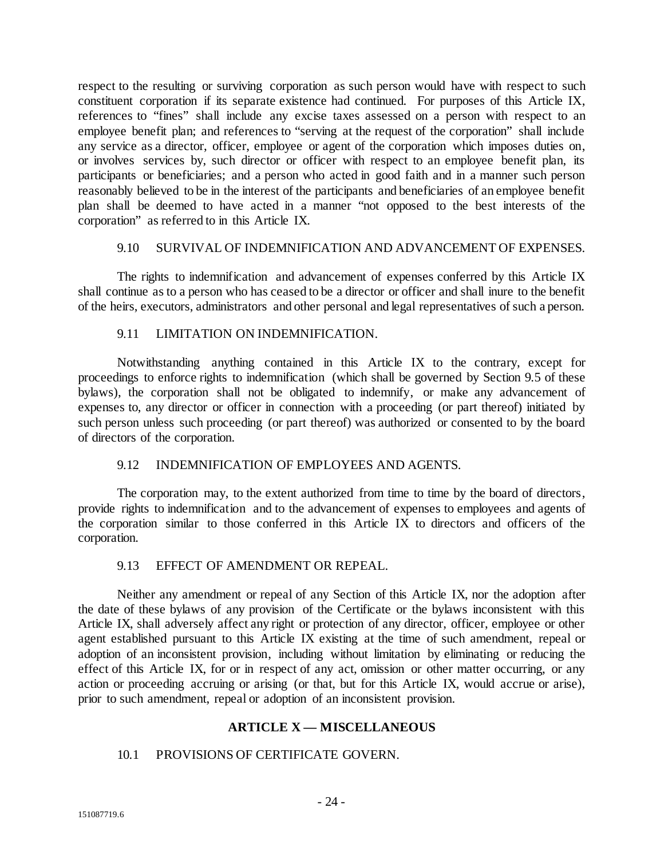respect to the resulting or surviving corporation as such person would have with respect to such constituent corporation if its separate existence had continued. For purposes of this Article IX, references to "fines" shall include any excise taxes assessed on a person with respect to an employee benefit plan; and references to "serving at the request of the corporation" shall include any service as a director, officer, employee or agent of the corporation which imposes duties on, or involves services by, such director or officer with respect to an employee benefit plan, its participants or beneficiaries; and a person who acted in good faith and in a manner such person reasonably believed to be in the interest of the participants and beneficiaries of an employee benefit plan shall be deemed to have acted in a manner "not opposed to the best interests of the corporation" as referred to in this Article IX.

#### 9.10 SURVIVAL OF INDEMNIFICATION AND ADVANCEMENT OF EXPENSES.

<span id="page-27-0"></span>The rights to indemnification and advancement of expenses conferred by this Article IX shall continue as to a person who has ceased to be a director or officer and shall inure to the benefit of the heirs, executors, administrators and other personal and legal representatives of such a person.

## 9.11 LIMITATION ON INDEMNIFICATION.

<span id="page-27-1"></span>Notwithstanding anything contained in this Article IX to the contrary, except for proceedings to enforce rights to indemnification (which shall be governed by Section 9.5 of these bylaws), the corporation shall not be obligated to indemnify, or make any advancement of expenses to, any director or officer in connection with a proceeding (or part thereof) initiated by such person unless such proceeding (or part thereof) was authorized or consented to by the board of directors of the corporation.

## 9.12 INDEMNIFICATION OF EMPLOYEES AND AGENTS.

<span id="page-27-2"></span>The corporation may, to the extent authorized from time to time by the board of directors, provide rights to indemnification and to the advancement of expenses to employees and agents of the corporation similar to those conferred in this Article IX to directors and officers of the corporation.

## 9.13 EFFECT OF AMENDMENT OR REPEAL.

<span id="page-27-3"></span>Neither any amendment or repeal of any Section of this Article IX, nor the adoption after the date of these bylaws of any provision of the Certificate or the bylaws inconsistent with this Article IX, shall adversely affect any right or protection of any director, officer, employee or other agent established pursuant to this Article IX existing at the time of such amendment, repeal or adoption of an inconsistent provision, including without limitation by eliminating or reducing the effect of this Article IX, for or in respect of any act, omission or other matter occurring, or any action or proceeding accruing or arising (or that, but for this Article IX, would accrue or arise), prior to such amendment, repeal or adoption of an inconsistent provision.

# **ARTICLE X — MISCELLANEOUS**

## <span id="page-27-5"></span><span id="page-27-4"></span>10.1 PROVISIONS OF CERTIFICATE GOVERN.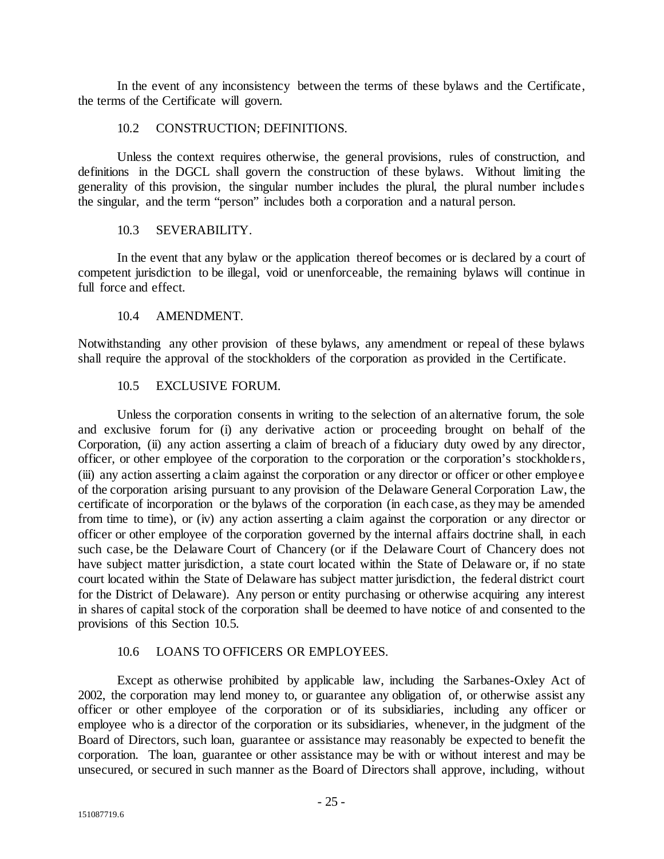In the event of any inconsistency between the terms of these bylaws and the Certificate, the terms of the Certificate will govern.

#### 10.2 CONSTRUCTION; DEFINITIONS.

<span id="page-28-0"></span>Unless the context requires otherwise, the general provisions, rules of construction, and definitions in the DGCL shall govern the construction of these bylaws. Without limiting the generality of this provision, the singular number includes the plural, the plural number includes the singular, and the term "person" includes both a corporation and a natural person.

#### 10.3 SEVERABILITY.

<span id="page-28-1"></span>In the event that any bylaw or the application thereof becomes or is declared by a court of competent jurisdiction to be illegal, void or unenforceable, the remaining bylaws will continue in full force and effect.

## 10.4 AMENDMENT.

<span id="page-28-2"></span>Notwithstanding any other provision of these bylaws, any amendment or repeal of these bylaws shall require the approval of the stockholders of the corporation as provided in the Certificate.

## 10.5 EXCLUSIVE FORUM.

<span id="page-28-3"></span>Unless the corporation consents in writing to the selection of an alternative forum, the sole and exclusive forum for (i) any derivative action or proceeding brought on behalf of the Corporation, (ii) any action asserting a claim of breach of a fiduciary duty owed by any director, officer, or other employee of the corporation to the corporation or the corporation's stockholders, (iii) any action asserting a claim against the corporation or any director or officer or other employee of the corporation arising pursuant to any provision of the Delaware General Corporation Law, the certificate of incorporation or the bylaws of the corporation (in each case, as they may be amended from time to time), or (iv) any action asserting a claim against the corporation or any director or officer or other employee of the corporation governed by the internal affairs doctrine shall, in each such case, be the Delaware Court of Chancery (or if the Delaware Court of Chancery does not have subject matter jurisdiction, a state court located within the State of Delaware or, if no state court located within the State of Delaware has subject matter jurisdiction, the federal district court for the District of Delaware). Any person or entity purchasing or otherwise acquiring any interest in shares of capital stock of the corporation shall be deemed to have notice of and consented to the provisions of this Section 10.5.

## 10.6 LOANS TO OFFICERS OR EMPLOYEES.

<span id="page-28-4"></span>Except as otherwise prohibited by applicable law, including the Sarbanes-Oxley Act of 2002, the corporation may lend money to, or guarantee any obligation of, or otherwise assist any officer or other employee of the corporation or of its subsidiaries, including any officer or employee who is a director of the corporation or its subsidiaries, whenever, in the judgment of the Board of Directors, such loan, guarantee or assistance may reasonably be expected to benefit the corporation. The loan, guarantee or other assistance may be with or without interest and may be unsecured, or secured in such manner as the Board of Directors shall approve, including, without